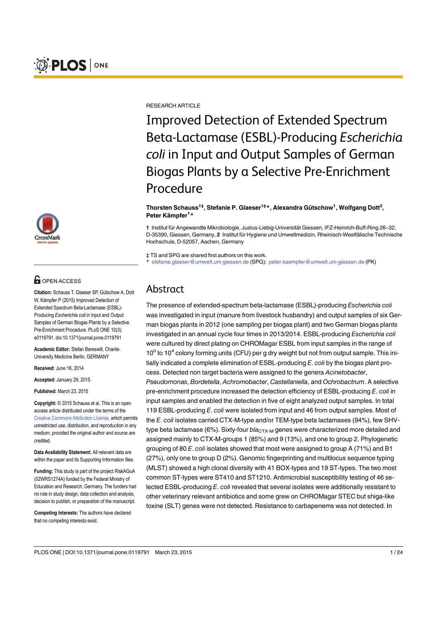



## **OPEN ACCESS**

Citation: Schauss T, Glaeser SP, Gütschow A, Dott W, Kämpfer P (2015) Improved Detection of Extended Spectrum Beta-Lactamase (ESBL)-Producing Escherichia coli in Input and Output Samples of German Biogas Plants by a Selective Pre-Enrichment Procedure. PLoS ONE 10(3): e0119791. doi:10.1371/journal.pone.0119791

Academic Editor: Stefan Bereswill, Charité-University Medicine Berlin, GERMANY

Received: June 16, 2014

Accepted: January 29, 2015

Published: March 23, 2015

Copyright: © 2015 Schauss et al. This is an open access article distributed under the terms of the [Creative Commons Attribution License,](http://creativecommons.org/licenses/by/4.0/) which permits unrestricted use, distribution, and reproduction in any medium, provided the original author and source are credited.

Data Availability Statement: All relevant data are within the paper and its Supporting Information files.

Funding: This study is part of the project RiskAGuA (02WRS1274A) funded by the Federal Ministry of Education and Research, Germany. The funders had no role in study design, data collection and analysis, decision to publish, or preparation of the manuscript.

Competing Interests: The authors have declared that no competing interests exist.

RESEARCH ARTICLE

Improved Detection of Extended Spectrum Beta-Lactamase (ESBL)-Producing Escherichia coli in Input and Output Samples of German Biogas Plants by a Selective Pre-Enrichment Procedure

Thorsten Schauss<sup>1‡</sup>, Stefanie P. Glaeser<sup>1‡</sup>\*, Alexandra Gütschow<sup>1</sup>, Wolfgang Dott<sup>2</sup>, Peter Kämpfer<sup>1</sup>\*

1 Institut für Angewandte Mikrobiologie, Justus-Liebig-Universität Giessen, IFZ-Heinrich-Buff-Ring 26–32, D-35390, Giessen, Germany, 2 Institut für Hygiene und Umweltmedizin, Rheinisch-Westfälische Technische Hochschule, D-52057, Aachen, Germany

‡ TS and SPG are shared first authors on this work.

\* stefanie.glaeser@umwelt.uni-giessen.de (SPG); peter.kaempfer@umwelt.uni-giessen.de (PK)

## Abstract

The presence of extended-spectrum beta-lactamase (ESBL)-producing Escherichia coli was investigated in input (manure from livestock husbandry) and output samples of six German biogas plants in 2012 (one sampling per biogas plant) and two German biogas plants investigated in an annual cycle four times in 2013/2014. ESBL-producing Escherichia coli were cultured by direct plating on CHROMagar ESBL from input samples in the range of  $10<sup>0</sup>$  to  $10<sup>4</sup>$  colony forming units (CFU) per g dry weight but not from output sample. This initially indicated a complete elimination of  $ESBL$ -producing  $E$ , coli by the biogas plant process. Detected non target bacteria were assigned to the genera Acinetobacter, Pseudomonas, Bordetella, Achromobacter, Castellaniella, and Ochrobactrum. A selective pre-enrichment procedure increased the detection efficiency of ESBL-producing E. coli in input samples and enabled the detection in five of eight analyzed output samples. In total 119 ESBL-producing E. coli were isolated from input and 46 from output samples. Most of the E. coli isolates carried CTX-M-type and/or TEM-type beta lactamases (94%), few SHVtype beta lactamase (6%). Sixty-four  $bla_{CTX-M}$  genes were characterized more detailed and assigned mainly to CTX-M-groups 1 (85%) and 9 (13%), and one to group 2. Phylogenetic grouping of 80 E. coli isolates showed that most were assigned to group A (71%) and B1 (27%), only one to group D (2%). Genomic fingerprinting and multilocus sequence typing (MLST) showed a high clonal diversity with 41 BOX-types and 19 ST-types. The two most common ST-types were ST410 and ST1210. Antimicrobial susceptibility testing of 46 selected ESBL-producing E. coli revealed that several isolates were additionally resistant to other veterinary relevant antibiotics and some grew on CHROMagar STEC but shiga-like toxine (SLT) genes were not detected. Resistance to carbapenems was not detected. In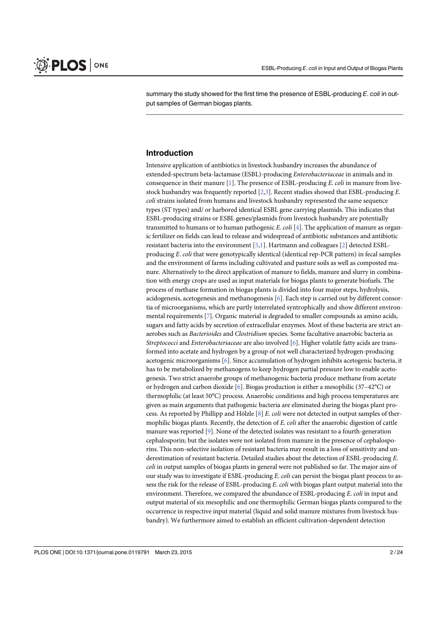summary the study showed for the first time the presence of ESBL-producing E, coli in output samples of German biogas plants.

## Introduction

Intensive application of antibiotics in livestock husbandry increases the abundance of extended-spectrum beta-lactamase (ESBL)-producing Enterobacteriaceae in animals and in consequence in their manure [1]. The presence of ESBL-producing E. coli in manure from livestock husbandry was frequently reported [2,3]. Recent studies showed that ESBL-producing E. coli strains isolated from humans and livestock husbandry represented the same sequence types (ST types) and/ or harbored identical ESBL gene carrying plasmids. This indicates that ESBL-producing strains or ESBL genes/plasmids from livestock husbandry are potentially transmitted to humans or to human pathogenic E. coli [4]. The application of manure as organic fertilizer on fields can lead to release and widespread of antibiotic substances and antibiotic resistant bacteria into the environment [5,1]. Hartmann and colleagues [2] detected ESBLproducing E. coli that were genotypically identical (identical rep-PCR pattern) in fecal samples and the environment of farms including cultivated and pasture soils as well as composted manure. Alternatively to the direct application of manure to fields, manure and slurry in combination with energy crops are used as input materials for biogas plants to generate biofuels. The process of methane formation in biogas plants is divided into four major steps, hydrolysis, acidogenesis, acetogenesis and methanogenesis [6]. Each step is carried out by different consortia of microorganisms, which are partly interrelated syntrophically and show different environmental requirements [7]. Organic material is degraded to smaller compounds as amino acids, sugars and fatty acids by secretion of extracellular enzymes. Most of these bacteria are strict anaerobes such as Bacterioides and Clostridium species. Some facultative anaerobic bacteria as Streptococci and Enterobacteriaceae are also involved [6]. Higher volatile fatty acids are transformed into acetate and hydrogen by a group of not well characterized hydrogen-producing acetogenic microorganisms [6]. Since accumulation of hydrogen inhibits acetogenic bacteria, it has to be metabolized by methanogens to keep hydrogen partial pressure low to enable acetogenesis. Two strict anaerobe groups of methanogenic bacteria produce methane from acetate or hydrogen and carbon dioxide [6]. Biogas production is either a mesophilic (37–42°C) or thermophilic (at least 50°C) process. Anaerobic conditions and high process temperatures are given as main arguments that pathogenic bacteria are eliminated during the biogas plant process. As reported by Phillipp and Hölzle  $[8]$  E. coli were not detected in output samples of thermophilic biogas plants. Recently, the detection of  $E$ , coli after the anaerobic digestion of cattle manure was reported [9]. None of the detected isolates was resistant to a fourth-generation cephalosporin; but the isolates were not isolated from manure in the presence of cephalosporins. This non-selective isolation of resistant bacteria may result in a loss of sensitivity and underestimation of resistant bacteria. Detailed studies about the detection of ESBL-producing E. coli in output samples of biogas plants in general were not published so far. The major aim of our study was to investigate if ESBL-producing E. coli can persist the biogas plant process to assess the risk for the release of ESBL-producing E. coli with biogas plant output material into the environment. Therefore, we compared the abundance of ESBL-producing E. coli in input and output material of six mesophilic and one thermophilic German biogas plants compared to the occurrence in respective input material (liquid and solid manure mixtures from livestock husbandry). We furthermore aimed to establish an efficient cultivation-dependent detection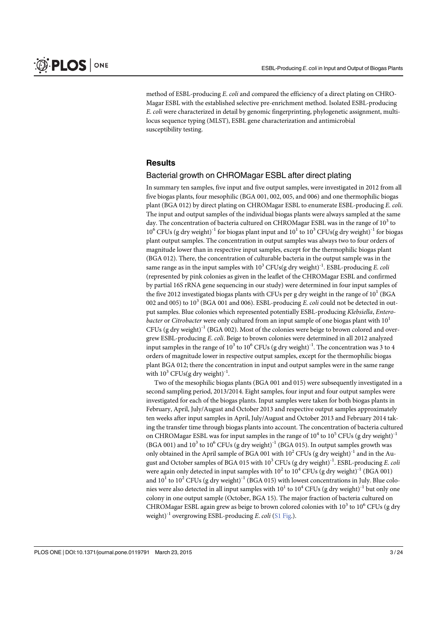method of ESBL-producing E. coli and compared the efficiency of a direct plating on CHRO-Magar ESBL with the established selective pre-enrichment method. Isolated ESBL-producing E. coli were characterized in detail by genomic fingerprinting, phylogenetic assignment, multilocus sequence typing (MLST), ESBL gene characterization and antimicrobial susceptibility testing.

#### **Results**

#### Bacterial growth on CHROMagar ESBL after direct plating

In summary ten samples, five input and five output samples, were investigated in 2012 from all five biogas plants, four mesophilic (BGA 001, 002, 005, and 006) and one thermophilic biogas plant (BGA 012) by direct plating on CHROMagar ESBL to enumerate ESBL-producing E. coli. The input and output samples of the individual biogas plants were always sampled at the same day. The concentration of bacteria cultured on CHROMagar ESBL was in the range of  $10<sup>3</sup>$  to  $10^6$  CFUs (g dry weight)<sup>-1</sup> for biogas plant input and  $10^1$  to  $10^3$  CFUs(g dry weight)<sup>-1</sup> for biogas plant output samples. The concentration in output samples was always two to four orders of magnitude lower than in respective input samples, except for the thermophilic biogas plant (BGA 012). There, the concentration of culturable bacteria in the output sample was in the same range as in the input samples with  $10^3$  CFUs(g dry weight)<sup>-1</sup>. ESBL-producing *E. coli* (represented by pink colonies as given in the leaflet of the CHROMagar ESBL and confirmed by partial 16S rRNA gene sequencing in our study) were determined in four input samples of the five 2012 investigated biogas plants with CFUs per g dry weight in the range of  $10^1$  (BGA 002 and 005) to  $10^3$  (BGA 001 and 006). ESBL-producing *E. coli* could not be detected in output samples. Blue colonies which represented potentially ESBL-producing Klebsiella, Entero*bacter* or *Citrobacter* were only cultured from an input sample of one biogas plant with  $10<sup>1</sup>$ CFUs (g dry weight)<sup>-1</sup> (BGA 002). Most of the colonies were beige to brown colored and overgrew ESBL-producing E. coli. Beige to brown colonies were determined in all 2012 analyzed input samples in the range of 10<sup>3</sup> to 10<sup>6</sup> CFUs (g dry weight)<sup>-1</sup>. The concentration was 3 to 4 orders of magnitude lower in respective output samples, except for the thermophilic biogas plant BGA 012; there the concentration in input and output samples were in the same range with  $10^3$  CFUs(g dry weight)<sup>-1</sup>.

Two of the mesophilic biogas plants (BGA 001 and 015) were subsequently investigated in a second sampling period, 2013/2014. Eight samples, four input and four output samples were investigated for each of the biogas plants. Input samples were taken for both biogas plants in February, April, July/August and October 2013 and respective output samples approximately ten weeks after input samples in April, July/August and October 2013 and February 2014 taking the transfer time through biogas plants into account. The concentration of bacteria cultured on CHROMagar ESBL was for input samples in the range of  $10^4$  to  $10^5$  CFUs (g dry weight)<sup>-1</sup> (BGA 001) and  $10^3$  to  $10^6$  CFUs (g dry weight)<sup>-1</sup> (BGA 015). In output samples growth was only obtained in the April sample of BGA 001 with  $10^2$  CFUs (g dry weight)<sup>-1</sup> and in the August and October samples of BGA 015 with  $10^3$  CFUs (g dry weight)<sup>-1</sup>. ESBL-producing E. coli were again only detected in input samples with  $10^2$  to  $10^4$  CFUs (g dry weight)<sup>-1</sup> (BGA 001) and  $10^1$  to  $10^2$  CFUs (g dry weight)<sup>-1</sup> (BGA 015) with lowest concentrations in July. Blue colonies were also detected in all input samples with  $10^1$  to  $10^4$  CFUs (g dry weight)<sup>-1</sup> but only one colony in one output sample (October, BGA 15). The major fraction of bacteria cultured on CHROMagar ESBL again grew as beige to brown colored colonies with  $10^3$  to  $10^6$  CFUs (g dry weight)<sup>-1</sup> overgrowing ESBL-producing E. coli (S1 Fig.).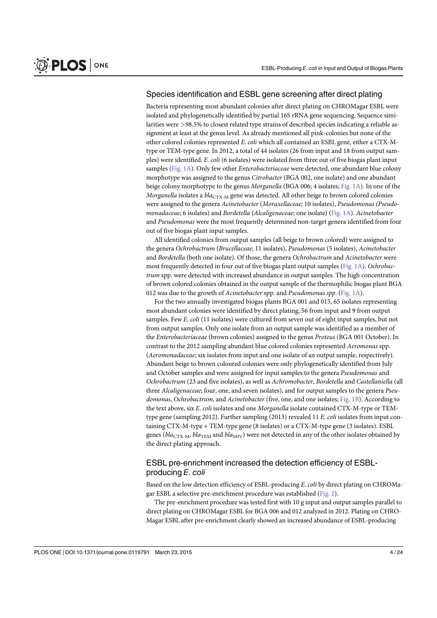#### Species identification and ESBL gene screening after direct plating

Bacteria representing most abundant colonies after direct plating on CHROMagar ESBL were isolated and phylogenetically identified by partial 16S rRNA gene sequencing. Sequence similarities were >98.5% to closest related type strains of described species indicating a reliable assignment at least at the genus level. As already mentioned all pink-colonies but none of the other colored colonies represented E. coli which all contained an ESBL gene, either a CTX-Mtype or TEM-type gene. In 2012, a total of 44 isolates (26 from input and 18 from output samples) were identified. E. coli (6 isolates) were isolated from three out of five biogas plant input samples (Fig. 1A). Only few other *Enterobacteriaceae* were detected, one abundant blue colony morphotype was assigned to the genus Citrobacter (BGA 002, one isolate) and one abundant beige colony morphotype to the genus Morganella (BGA 006; 4 isolates; Fig. 1A). In one of the Morganella isolates a bla<sub>CTX-M</sub> gene was detected. All other beige to brown colored colonies were assigned to the genera Acinetobacter (Moraxellaceae; 10 isolates), Pseudomonas (Pseudomonadaceae; 6 isolates) and Bordetella (Alcaligenaceae; one isolate) (Fig. 1A). Acinetobacter and Pseudomonas were the most frequently determined non-target genera identified from four out of five biogas plant input samples.

All identified colonies from output samples (all beige to brown colored) were assigned to the genera Ochrobactrum (Brucellaceae; 11 isolates), Pseudomonas (5 isolates), Acinetobacter and Bordetella (both one isolate). Of those, the genera Ochrobactrum and Acinetobacter were most frequently detected in four out of five biogas plant output samples (Fig. 1A). Ochrobactrum spp. were detected with increased abundance in output samples. The high concentration of brown colored colonies obtained in the output sample of the thermophilic biogas plant BGA 012 was due to the growth of Acinetobacter spp. and Pseudomonas spp. (Fig. 1A).

For the two annually investigated biogas plants BGA 001 and 015, 65 isolates representing most abundant colonies were identified by direct plating, 56 from input and 9 from output samples. Few E. coli (11 isolates) were cultured from seven out of eight input samples, but not from output samples. Only one isolate from an output sample was identified as a member of the Enterobacteriaceae (brown colonies) assigned to the genus Proteus (BGA 001 October). In contrast to the 2012 sampling abundant blue colored colonies represented Aeromonas spp. (Aeromonadaceae; six isolates from input and one isolate of an output sample, respectively). Abundant beige to brown coloured colonies were only phylogenetically identified from July and October samples and were assigned for input samples to the genera Pseudomonas and Ochrobactrum (23 and five isolates), as well as Achromobacter, Bordetella and Castellaniella (all three Alcaligenaceae; four, one, and seven isolates), and for output samples to the genera Pseudomonas, Ochrobactrum, and Acinetobacter (five, one, and one isolates; Fig. 1B). According to the text above, six E. coli isolates and one Morganella isolate contained CTX-M-type or TEMtype gene (sampling 2012). Further sampling (2013) revealed 11 E. coli isolates from input containing CTX-M-type + TEM-type gene (8 isolates) or a CTX-M-type gene (3 isolates). ESBL genes ( $bla_{\text{CTX-M}}$ ,  $bla_{\text{TEM}}$  and  $bla_{\text{SHV}}$ ) were not detected in any of the other isolates obtained by the direct plating approach.

## ESBL pre-enrichment increased the detection efficiency of ESBLproducing E. coli

Based on the low detection efficiency of ESBL-producing E. coli by direct plating on CHROMagar ESBL a selective pre-enrichment procedure was established (Fig. 2).

The pre-enrichment procedure was tested first with 10 g input and output samples parallel to direct plating on CHROMagar ESBL for BGA 006 and 012 analyzed in 2012. Plating on CHRO-Magar ESBL after pre-enrichment clearly showed an increased abundance of ESBL-producing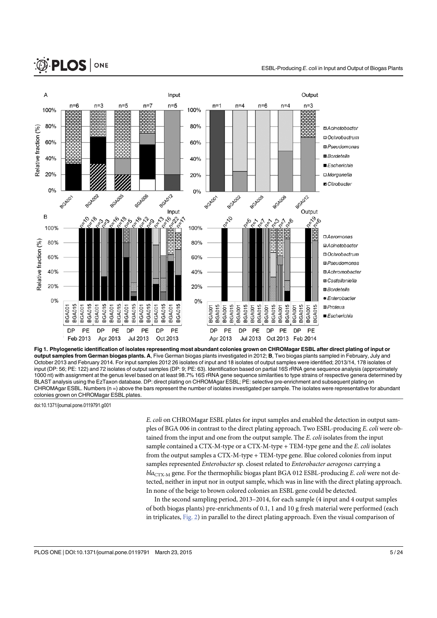# **O. PLOS** ONE



Fig 1. Phylogenetic identification of isolates representing most abundant colonies grown on CHROMagar ESBL after direct plating of input or output samples from German biogas plants. A, Five German biogas plants investigated in 2012; B, Two biogas plants sampled in February, July and October 2013 and February 2014. For input samples 2012 26 isolates of input and 18 isolates of output samples were identified; 2013/14, 178 isolates of input (DP: 56; PE: 122) and 72 isolates of output samples (DP: 9; PE: 63). Identification based on partial 16S rRNA gene sequence analysis (approximately 1000 nt) with assignment at the genus level based on at least 98.7% 16S rRNA gene sequence similarities to type strains of respective genera determined by BLAST analysis using the EzTaxon database. DP: direct plating on CHROMAgar ESBL; PE: selective pre-enrichment and subsequent plating on CHROMAgar ESBL. Numbers (n =) above the bars represent the number of isolates investigated per sample. The isolates were representative for abundant colonies grown on CHROMagar ESBL plates.

doi:10.1371/journal.pone.0119791.g001

E. coli on CHROMagar ESBL plates for input samples and enabled the detection in output samples of BGA 006 in contrast to the direct plating approach. Two ESBL-producing E. coli were obtained from the input and one from the output sample. The E. coli isolates from the input sample contained a CTX-M-type or a CTX-M-type  $+$  TEM-type gene and the E. coli isolates from the output samples a CTX-M-type + TEM-type gene. Blue colored colonies from input samples represented *Enterobacter* sp. closest related to *Enterobacter aerogenes* carrying a  $bla_{CTX-M}$  gene. For the thermophilic biogas plant BGA 012 ESBL-producing E. coli were not detected, neither in input nor in output sample, which was in line with the direct plating approach. In none of the beige to brown colored colonies an ESBL gene could be detected.

In the second sampling period, 2013–2014, for each sample (4 input and 4 output samples of both biogas plants) pre-enrichments of 0.1, 1 and 10 g fresh material were performed (each in triplicates, Fig. 2) in parallel to the direct plating approach. Even the visual comparison of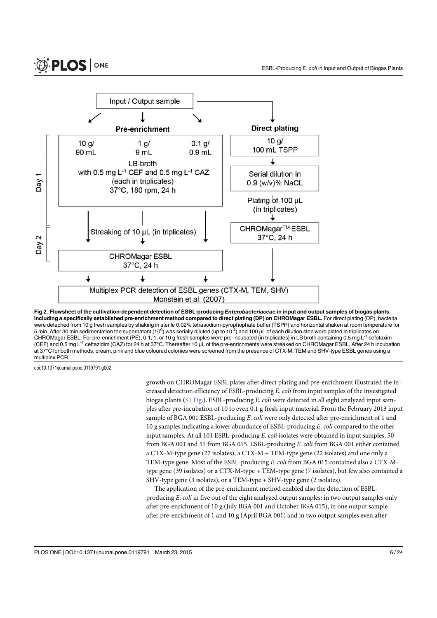

Fig 2. Flowsheet of the cultivation-dependent detection of ESBL-producing *Enterobacteriaceae* in input and output samples of biogas plants including a specifically established pre-enrichment method compared to direct plating (DP) on CHROMagar ESBL. For direct plating (DP), bacteria were detached from 10 g fresh samples by shaking in sterile 0.02% tetrasodium-pyrophophate buffer (TSPP) and horizontal shaken at room temperature for 5 min. After 30 min sedimentation the supernatant (10<sup>0</sup>) was serially diluted (up to 10<sup>-3</sup>) and 100 μL of each dilution step were plated in triplicates on CHROMagar ESBL. For pre-enrichment (PE), 0.1, 1, or 10 g fresh samples were pre-incubated (in triplicates) in LB broth containing 0.5 mg L-1 cefotaxim (CEF) and 0.5 mg L-1 ceftazidim (CAZ) for 24 h at 37°C. Thereafter 10 μL of the pre-enrichments were streaked on CHROMagar ESBL. After 24 h incubation at 37°C for both methods, cream, pink and blue coloured colonies were screened from the presence of CTX-M, TEM and SHV-type ESBL genes using a multiplex PCR.

doi:10.1371/journal.pone.0119791.g002

growth on CHROMagar ESBL plates after direct plating and pre-enrichment illustrated the increased detection efficiency of ESBL-producing E. coli from input samples of the investigated biogas plants (S1 Fig.). ESBL-producing E. coli were detected in all eight analyzed input samples after pre-incubation of 10 to even 0.1 g fresh input material. From the February 2013 input sample of BGA 001 ESBL-producing E. coli were only detected after pre-enrichment of 1 and 10 g samples indicating a lower abundance of ESBL-producing E. coli compared to the other input samples. At all 101 ESBL-producing E. coli isolates were obtained in input samples, 50 from BGA 001 and 51 from BGA 015. ESBL-producing E. coli from BGA 001 either contained a CTX-M-type gene (27 isolates), a CTX-M + TEM-type gene (22 isolates) and one only a TEM-type gene. Most of the ESBL-producing E. coli from BGA 015 contained also a CTX-Mtype gene (39 isolates) or a CTX-M-type + TEM-type gene (7 isolates), but few also contained a SHV-type gene (3 isolates), or a TEM-type + SHV-type gene (2 isolates).

The application of the pre-enrichment method enabled also the detection of ESBLproducing E. coli in five out of the eight analyzed output samples; in two output samples only after pre-enrichment of 10 g (July BGA 001 and October BGA 015), in one output sample after pre-enrichment of 1 and 10 g (April BGA 001) and in two output samples even after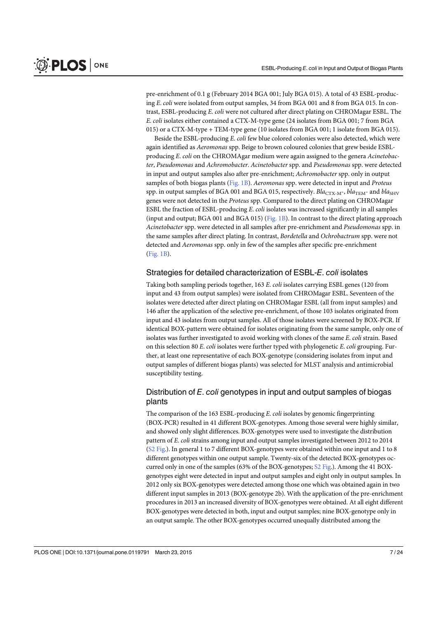pre-enrichment of 0.1 g (February 2014 BGA 001; July BGA 015). A total of 43 ESBL-producing E. coli were isolated from output samples, 34 from BGA 001 and 8 from BGA 015. In contrast, ESBL-producing E. coli were not cultured after direct plating on CHROMagar ESBL. The E. coli isolates either contained a CTX-M-type gene (24 isolates from BGA 001; 7 from BGA 015) or a CTX-M-type + TEM-type gene (10 isolates from BGA 001; 1 isolate from BGA 015).

Beside the ESBL-producing E. coli few blue colored colonies were also detected, which were again identified as Aeromonas spp. Beige to brown coloured colonies that grew beside ESBLproducing E. coli on the CHROMAgar medium were again assigned to the genera Acinetobacter, Pseudomonas and Achromobacter. Acinetobacter spp. and Pseudomonas spp. were detected in input and output samples also after pre-enrichment; Achromobacter spp. only in output samples of both biogas plants (Fig. 1B). Aeromonas spp. were detected in input and Proteus spp. in output samples of BGA 001 and BGA 015, respectively.  $Blac_{\text{TX-M-}}$ ,  $blac_{\text{TM-}}$  and  $blac_{\text{HV}}$ genes were not detected in the Proteus spp. Compared to the direct plating on CHROMagar ESBL the fraction of ESBL-producing E. coli isolates was increased significantly in all samples (input and output; BGA 001 and BGA 015) (Fig. 1B). In contrast to the direct plating approach Acinetobacter spp. were detected in all samples after pre-enrichment and Pseudomonas spp. in the same samples after direct plating. In contrast, Bordetella and Ochrobactrum spp. were not detected and Aeromonas spp. only in few of the samples after specific pre-enrichment (Fig. 1B).

#### Strategies for detailed characterization of ESBL-E. coli isolates

Taking both sampling periods together, 163 E. coli isolates carrying ESBL genes (120 from input and 43 from output samples) were isolated from CHROMagar ESBL. Seventeen of the isolates were detected after direct plating on CHROMagar ESBL (all from input samples) and 146 after the application of the selective pre-enrichment, of those 103 isolates originated from input and 43 isolates from output samples. All of those isolates were screened by BOX-PCR. If identical BOX-pattern were obtained for isolates originating from the same sample, only one of isolates was further investigated to avoid working with clones of the same E. coli strain. Based on this selection 80 E. coli isolates were further typed with phylogenetic E. coli grouping. Further, at least one representative of each BOX-genotype (considering isolates from input and output samples of different biogas plants) was selected for MLST analysis and antimicrobial susceptibility testing.

## Distribution of E, coli genotypes in input and output samples of biogas plants

The comparison of the 163 ESBL-producing E. coli isolates by genomic fingerprinting (BOX-PCR) resulted in 41 different BOX-genotypes. Among those several were highly similar, and showed only slight differences. BOX-genotypes were used to investigate the distribution pattern of E. coli strains among input and output samples investigated between 2012 to 2014 (S2 Fig.). In general 1 to 7 different BOX-genotypes were obtained within one input and 1 to 8 different genotypes within one output sample. Twenty-six of the detected BOX-genotypes occurred only in one of the samples (63% of the BOX-genotypes;  $\Sigma$  Fig.). Among the 41 BOXgenotypes eight were detected in input and output samples and eight only in output samples. In 2012 only six BOX-genotypes were detected among those one which was obtained again in two different input samples in 2013 (BOX-genotype 2b). With the application of the pre-enrichment procedures in 2013 an increased diversity of BOX-genotypes were obtained. At all eight different BOX-genotypes were detected in both, input and output samples; nine BOX-genotype only in an output sample. The other BOX-genotypes occurred unequally distributed among the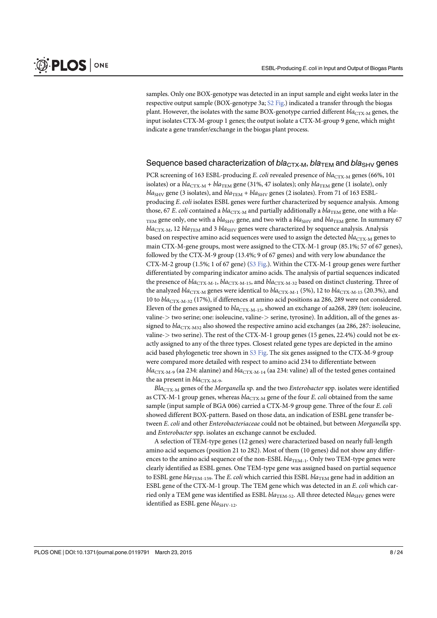samples. Only one BOX-genotype was detected in an input sample and eight weeks later in the respective output sample (BOX-genotype 3a; S2 Fig.) indicated a transfer through the biogas plant. However, the isolates with the same BOX-genotype carried different  $bla_{CTX-M}$  genes, the input isolates CTX-M-group 1 genes; the output isolate a CTX-M-group 9 gene, which might indicate a gene transfer/exchange in the biogas plant process.

#### Sequence based characterization of  $bla_{\text{CTX-M}}$ ,  $bla_{\text{TEM}}$  and  $bla_{\text{SHV}}$  genes

PCR screening of 163 ESBL-producing E. coli revealed presence of  $bla_{\text{CTX-}M}$  genes (66%, 101 isolates) or a  $bla_{\text{CTX-}M} + bla_{\text{TEM}}$  gene (31%, 47 isolates); only  $bla_{\text{TEM}}$  gene (1 isolate), only  $bla<sub>SHV</sub>$  gene (3 isolates), and  $bla<sub>TEM</sub> + bla<sub>SHV</sub>$  genes (2 isolates). From 71 of 163 ESBLproducing E. coli isolates ESBL genes were further characterized by sequence analysis. Among those, 67 E. coli contained a bla<sub>CTX-M</sub> and partially additionally a bla<sub>TEM</sub> gene, one with a bla-TEM gene only, one with a  $bla<sub>SHV</sub>$  gene, and two with a  $bla<sub>SHV</sub>$  and  $bla<sub>TEM</sub>$  gene. In summary 67  $bla_{\text{CTX-M}}$ , 12  $bla_{\text{TEM}}$  and 3  $bla_{\text{SHV}}$  genes were characterized by sequence analysis. Analysis based on respective amino acid sequences were used to assign the detected  $bla_{CTX-M}$  genes to main CTX-M-gene groups, most were assigned to the CTX-M-1 group (85.1%; 57 of 67 genes), followed by the CTX-M-9 group (13.4%; 9 of 67 genes) and with very low abundance the CTX-M-2 group (1.5%; 1 of 67 gene) (S3 Fig.). Within the CTX-M-1 group genes were further differentiated by comparing indicator amino acids. The analysis of partial sequences indicated the presence of  $bla_{\text{CTX-M-1}}$ ,  $bla_{\text{CTX-M-15}}$ , and  $bla_{\text{CTX-M-32}}$  based on distinct clustering. Three of the analyzed bla<sub>CTX-M</sub> genes were identical to bla<sub>CTX-M-1</sub> (5%), 12 to bla<sub>CTX-M-15</sub> (20.3%), and 10 to  $bla_{\text{CTX-M-32}}$  (17%), if differences at amino acid positions aa 286, 289 were not considered. Eleven of the genes assigned to  $bla_{\text{CTX-M-15}}$ , showed an exchange of aa268, 289 (ten: isoleucine, valine-> two serine; one: isoleucine, valine-> serine, tyrosine). In addition, all of the genes assigned to  $bla_{\text{CTX-}M32}$  also showed the respective amino acid exchanges (aa 286, 287: isoleucine, valine-> two serine). The rest of the CTX-M-1 group genes (15 genes, 22.4%) could not be exactly assigned to any of the three types. Closest related gene types are depicted in the amino acid based phylogenetic tree shown in  $S3$  Fig. The six genes assigned to the CTX-M-9 group were compared more detailed with respect to amino acid 234 to differentiate between  $bla_{\text{CTX-M-9}}$  (aa 234: alanine) and  $bla_{\text{CTX-M-14}}$  (aa 234: valine) all of the tested genes contained the aa present in  $bla_{\text{CTX-M-9}}$ .

 $Bla_{\text{CTX-}M}$  genes of the Morganella sp. and the two Enterobacter spp. isolates were identified as CTX-M-1 group genes, whereas  $bla_{\text{CTX-}M}$  gene of the four E. coli obtained from the same sample (input sample of BGA 006) carried a CTX-M-9 group gene. Three of the four E. coli showed different BOX-pattern. Based on those data, an indication of ESBL gene transfer between E. coli and other Enterobacteriaceae could not be obtained, but between Morganella spp. and Enterobacter spp. isolates an exchange cannot be excluded.

A selection of TEM-type genes (12 genes) were characterized based on nearly full-length amino acid sequences (position 21 to 282). Most of them (10 genes) did not show any differences to the amino acid sequence of the non-ESBL  $bla_{TEM-1}$ . Only two TEM-type genes were clearly identified as ESBL genes. One TEM-type gene was assigned based on partial sequence to ESBL gene  $bla_{\text{TEM-159}}$ . The E. coli which carried this ESBL  $bla_{\text{TEM}}$  gene had in addition an ESBL gene of the CTX-M-1 group. The TEM gene which was detected in an E. coli which carried only a TEM gene was identified as ESBL  $bla_{\text{TEM-52}}$ . All three detected  $bla_{\text{SHV}}$  genes were identified as ESBL gene  $bla_{SHV-12}$ .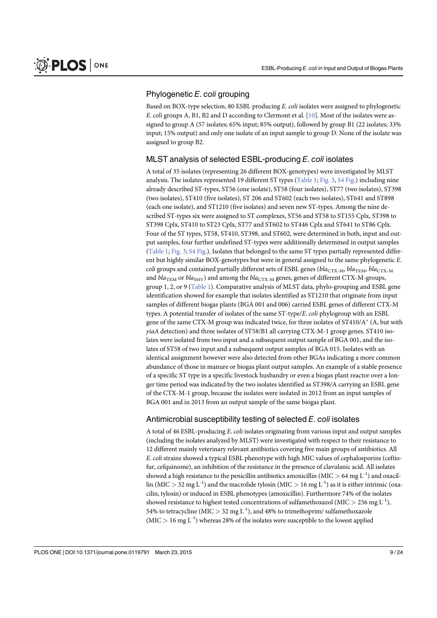## Phylogenetic E. coli grouping

Based on BOX-type selection, 80 ESBL producing E. coli isolates were assigned to phylogenetic E. coli groups A, B1, B2 and D according to Clermont et al. [10]. Most of the isolates were assigned to group A (57 isolates; 65% input; 85% output), followed by group B1 (22 isolates; 33% input; 15% output) and only one isolate of an input sample to group D. None of the isolate was assigned to group B2.

#### MLST analysis of selected ESBL-producing E. coli isolates

A total of 35 isolates (representing 26 different BOX-genotypes) were investigated by MLST analysis. The isolates represented 19 different ST types (Table 1; Fig. 3, S4 Fig.) including nine already described ST-types, ST56 (one isolate), ST58 (four isolates), ST77 (two isolates), ST398 (two isolates), ST410 (five isolates), ST 206 and ST602 (each two isolates), ST641 and ST898 (each one isolate), and ST1210 (five isolates) and seven new ST-types. Among the nine described ST-types six were assigned to ST complexes, ST56 and ST58 to ST155 Cplx, ST398 to ST398 Cplx, ST410 to ST23 Cplx, ST77 and ST602 to ST446 Cplx and ST641 to ST86 Cplx. Four of the ST types, ST58, ST410, ST398, and ST602, were determined in both, input and output samples, four further undefined ST-types were additionally determined in output samples (Table 1; Fig. 3; S4 Fig.). Isolates that belonged to the same ST types partially represented different but highly similar BOX-genotypes but were in general assigned to the same phylogenetic E. coli groups and contained partially different sets of ESBL genes ( $bla_{CTX-M}$ ,  $bla_{CTX-M}$ ,  $bla_{CTX-M}$ and  $bla_{\text{TEM}}$  or  $bla_{\text{SHV}}$ ) and among the  $bla_{\text{CTX-M}}$  genes, genes of different CTX-M-groups, group 1, 2, or 9 (Table 1). Comparative analysis of MLST data, phylo-grouping and ESBL gene identification showed for example that isolates identified as ST1210 that originate from input samples of different biogas plants (BGA 001 and 006) carried ESBL genes of different CTX-M types. A potential transfer of isolates of the same ST-type/E. coli phylogroup with an ESBL gene of the same CTX-M group was indicated twice, for three isolates of  $ST410/A^*$  (A, but with yiaA detection) and three isolates of ST58/B1 all carrying CTX-M-1 group genes. ST410 isolates were isolated from two input and a subsequent output sample of BGA 001, and the isolates of ST58 of two input and a subsequent output samples of BGA 015. Isolates with an identical assignment however were also detected from other BGAs indicating a more common abundance of those in manure or biogas plant output samples. An example of a stable presence of a specific ST type in a specific livestock husbandry or even a biogas plant reactor over a longer time period was indicated by the two isolates identified as ST398/A carrying an ESBL gene of the CTX-M-1 group, because the isolates were isolated in 2012 from an input samples of BGA 001 and in 2013 from an output sample of the same biogas plant.

#### Antimicrobial susceptibility testing of selected E. coli isolates

A total of 46 ESBL-producing E. coli isolates originating from various input and output samples (including the isolates analyzed by MLST) were investigated with respect to their resistance to 12 different mainly veterinary relevant antibiotics covering five main groups of antibiotics. All E. coli strains showed a typical ESBL phenotype with high MIC values of cephalosporins (ceftiofur, cefquinome), an inhibition of the resistance in the presence of clavulanic acid. All isolates showed a high resistance to the penicillin antibiotics amoxicillin (MIC  $> 64$  mg L<sup>-1</sup>) and oxacillin (MIC > 32 mg L<sup>-1</sup>) and the macrolide tylosin (MIC > 16 mg L<sup>-1</sup>) as it is either intrinsic (oxacilin, tylosin) or induced in ESBL phenotypes (amoxicillin). Furthermore 74% of the isolates showed resistance to highest tested concentrations of sulfamethoxazol (MIC  $>$  256 mg L<sup>-1</sup>), 54% to tetracycline (MIC  $>$  32 mg L<sup>-1</sup>), and 48% to trimethoprim/ sulfamethoxazole  $(MIC > 16 \text{ mg } L^{-1})$  whereas 28% of the isolates were susceptible to the lowest applied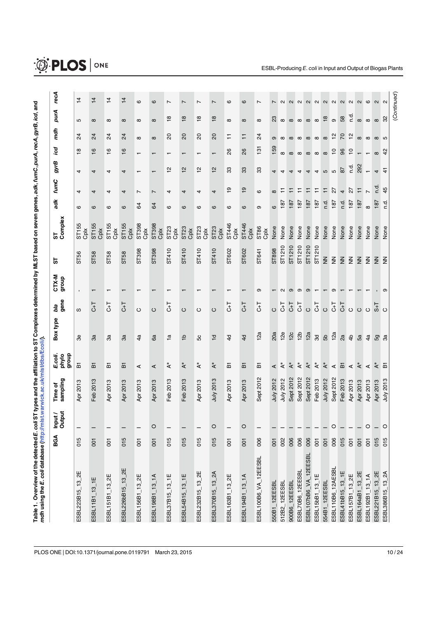| ĺ                                       |   |
|-----------------------------------------|---|
|                                         |   |
|                                         |   |
| יינים המספר העל המונים מהנה מה המספר המ |   |
|                                         |   |
|                                         |   |
|                                         |   |
|                                         |   |
| $\frac{1}{2}$                           |   |
|                                         |   |
|                                         |   |
|                                         |   |
|                                         |   |
|                                         |   |
|                                         |   |
| י<br>;                                  |   |
|                                         |   |
|                                         |   |
|                                         |   |
|                                         |   |
|                                         |   |
|                                         |   |
|                                         |   |
|                                         |   |
|                                         | ĺ |
|                                         |   |
|                                         |   |
|                                         |   |
|                                         |   |
|                                         |   |
|                                         |   |
|                                         |   |
|                                         |   |
| $\frac{3}{2}$                           |   |
| I                                       |   |
|                                         |   |
|                                         |   |
|                                         |   |
|                                         |   |
|                                         |   |
|                                         |   |
|                                         |   |
|                                         |   |
| į<br>$\overline{\phantom{a}}$           |   |
|                                         |   |

| $\overline{4}$<br>$\overline{4}$<br>$\overline{4}$<br>$\overline{4}$<br>$\circ$<br>$\circ$<br>6<br>ဖ<br>$\mathbf{\Omega}$<br>$\sim$<br>7<br>7<br>$\overline{ }$<br>$\sim$<br>$\mathbf{\Omega}$<br>$\mathbf{C}$<br>$\mathbf{a}$<br>$\mathbf{\Omega}$<br>$\sim$<br>$\mathbf{a}$<br>$\circ$<br>$\sim$<br>$\overline{ }$<br>$\overline{ }$<br>$\overline{ }$<br>N<br>$\sim$<br>р.<br>С<br>$\overset{\circ}{\phantom{a}}$<br>$\frac{8}{18}$<br>$\overset{\circ}{\phantom{a}}$<br>$\frac{8}{10}$<br>$\infty$ $\frac{\infty}{6}$<br>58<br>23<br>್ಲಿ<br>$\infty$<br>$\infty$<br>$\infty$<br>$\infty$<br>$\infty$<br>$\infty$<br>$\infty$<br>$\infty$<br>Б<br>$\infty$<br>$\infty$<br>$\infty$<br>$\infty$<br>$\infty$<br>$\infty$<br>$\infty$<br>$\infty$<br>$\overline{c}$<br>$\overline{c}$<br>$\infty$ $\frac{\infty}{12}$<br>$70$ $12$<br>$\overline{2}$<br>$^{24}$<br>$\overline{2}$<br>$^{24}$<br>$\overline{c}$<br>SO<br>$^{24}$<br>Ξ<br>$\overline{+}$<br>$\infty$ $\infty$<br>$\infty$<br>$\infty$<br>$\infty$<br>$\infty$ 50<br>$\infty$<br>$\infty$<br>$\sigma$<br>$\infty$<br>$\infty$<br>159<br>131<br>$\frac{6}{5}$<br>$\overset{\circ}{\mathbf{c}}$<br>$\frac{6}{5}$<br>$\frac{6}{5}$<br>26<br>$\overline{c}$<br>96<br>$\overline{C}$<br>$\frac{8}{2}$<br>42<br>$\infty$<br>$\infty$<br>$\infty$<br>$\infty$<br>$\infty$<br>$\infty$<br>$\infty$<br>$\overline{ }$<br>$\mathbf -$<br>↽<br>$\mathbf -$<br>T<br>$\mathbf{\tau}$<br>292<br>ρ.<br>$\frac{1}{2}$<br>33<br>$\frac{1}{2}$<br>$\frac{1}{2}$<br>$\frac{1}{2}$<br>33<br>33<br>87<br>$\frac{4}{3}$<br>Ю<br>ъ<br>4<br>4<br>4<br>4<br>4<br>4<br>4<br>$\overline{\phantom{0}}$<br>$\overline{ }$<br>4<br>4<br>4<br>4<br>P.d<br>45<br>$\overline{9}$<br>$\frac{1}{6}$<br>$\overline{+}$<br>27<br>27<br>$\overline{\mathbb{H}}$<br>Ξ<br>Ξ<br>∓<br>Ξ<br>∓<br>$\overline{4}$<br>$\overline{r}$<br>$\overline{ }$<br>4<br>$\mathbf{\circ}$<br>$\infty$<br>4<br>4<br>4<br>4<br>$\overline{ }$<br>4<br>4<br>4<br>187<br>n.d.<br>187<br>187<br>187<br>187<br>r.d<br>187<br>187<br>r.d<br>187<br>187<br>$\mathfrak{B}$<br>$\infty$<br>\$<br>$\circ$<br>$\circ$<br>$\circ$<br>$\mathbf \Omega$<br>$\circ$<br>စ<br>$\circ$<br>თ<br>ဇ<br>ဖ<br>စ<br>စ<br>ST446<br>ST155<br>ST <sub>155</sub><br>ST398<br>ST398<br>ST155<br>ST155<br>ST446<br>ST86<br>ST <sub>23</sub><br>ST <sub>23</sub><br>ST23<br>ST <sub>23</sub><br>None<br>None<br>None<br>None<br>None<br>None<br>None<br>None<br>None<br>None<br>None<br>None<br>None<br>None<br>Ğ<br>Ğ<br>G<br>Ğ<br>Gpix<br>Cpix<br>Cplx<br>Cpix<br>Cpix<br>Gpix<br>Cplx<br>Cplx<br>Cplx<br>Cpix<br>ST1210<br>ST1210<br>ST1210<br>ST1210<br>ST1210<br>ST898<br>ST398<br>ST398<br>ST410<br>ST410<br>ST410<br>ST410<br>ST602<br>ST602<br>ST641<br>ST56<br>ST58<br>ST58<br>ST58<br>$rac{z}{z}$<br>$\leq$<br>$\geq$<br>$\leq$<br>$\overline{z}$<br>$\frac{z}{2}$<br>$\overline{z}$<br>$\frac{2}{2}$<br>$\sigma$<br>ၜ<br>$\sigma$<br>ၜ<br>თ<br>$\mathbf{N}$<br>ၜ<br>$\mathbf -$<br>$\overline{\phantom{0}}$<br>$\mathbf{r}$<br>$\overline{\phantom{m}}$<br>$\overline{\phantom{0}}$<br>$\blacksquare$<br>┯<br>$7+5$<br>$\overline{C}$<br>$\overline{5}$<br>$\overline{C}$<br>$\overline{5}$<br>$\overline{C}$<br>$\overline{C}$<br>$\overline{t}$<br>$\overline{C}$<br>$\overline{F}$<br>$\overline{5}$<br>$\overline{5}$<br>$\overline{C}$<br>군<br>이<br>$\circ$<br>$\circ$<br>$\circ$<br>$O$ $O$ $O$<br>$\circ$<br>$\circ$<br>$\circ$<br>$\circ$<br>$\circ$<br><b>S</b><br>12e<br>12a<br>20a<br>12c<br>12 <sub>b</sub><br>12a<br>12a<br>යි<br>3d<br>2a<br>4 <sup>b</sup><br>5а<br>4a<br>4a<br>යි<br>$\frac{a}{b}$<br>$\frac{a}{\tau}$<br>卫<br>$\overline{4}$<br>5g<br>೫<br>3a<br>್ಡಿ<br>3ã<br>50<br>$\overline{4}$<br>್ಡಿ<br>$\overleftarrow{\texttt{B}}$<br>$\rm \mathring{A}^*$<br>$\rm \mathring{A}^*$<br>$\mathbf{\hat{A}}^*$<br>$\mathbf{A}^*$<br>$\rm \mathring{A}^*$<br>$\rm \mathring{\mathcal{A}}$<br>$\rm ^*$<br>$\stackrel{*}{\prec}$<br>$\mathbf{A}^*$<br>$\stackrel{*}{\mathbf{A}}$<br>$A^*$<br>$\overleftarrow{\texttt{B}}$<br>$\triangleq$ $\triangleq$<br>$\overline{a}$<br>ā<br>$\overline{\mathbf{b}}$<br>ā<br>짇<br>짇<br>짇<br>$\prec$<br>$\prec$<br>$\prec$<br>⋖<br>⋖<br>Sept 2012<br>Sept 2012<br>Sept 2012<br>Sept 2012<br>Sept 2012<br>July 2012<br>July 2012<br><b>July 2012</b><br>Feb 2013<br>July 2013<br>Feb 2013<br>July 2013<br>Feb 2013<br>Feb 2013<br>Feb 2013<br>Apr 2013<br>Apr 2013<br>Apr 2013<br>Apr 2013<br>Apr 2013<br>Apr 2013<br>Apr 2013<br>Apr 2013<br>Apr 2013<br>Apr 2013<br>Apr 2013<br>Apr 2013<br>$\circ$<br>$\circ$<br>$\circ$<br>$\circ$<br>$\circ$<br>$\circ$<br>015<br>015<br>015<br>015<br>015<br>006<br>006<br>006<br>006<br>015<br>$\overline{5}$<br>015<br>002<br>006<br>$\overline{0}$<br>015<br>015<br>$\overline{5}$<br>$\overline{0}$<br>$\overline{0}$<br>$\overline{0}$<br>$\overline{5}$<br>$\overline{5}$<br>$\overline{5}$<br>$\overline{5}$<br>$\overline{0}$<br>$\overline{5}$<br>ESBL107bB6_VA_12EESBL<br>ESBL223B15_13_2E<br>ESBL370B15_13_2A<br>ESBL54B15_13_1E<br>ESBL192B1_13_1A<br>ESBL194B1_13_1A<br>ESBL11B1_13_1E |                   | BGA | Input /<br>Output | sampling<br>Time of | E.coli.<br>phylo<br>group | Box type | gene<br>bla | CTX-M<br>group | 5 | ST<br>Complex | adk | fumC | gyrB | icd | mdh | purA | recA |
|------------------------------------------------------------------------------------------------------------------------------------------------------------------------------------------------------------------------------------------------------------------------------------------------------------------------------------------------------------------------------------------------------------------------------------------------------------------------------------------------------------------------------------------------------------------------------------------------------------------------------------------------------------------------------------------------------------------------------------------------------------------------------------------------------------------------------------------------------------------------------------------------------------------------------------------------------------------------------------------------------------------------------------------------------------------------------------------------------------------------------------------------------------------------------------------------------------------------------------------------------------------------------------------------------------------------------------------------------------------------------------------------------------------------------------------------------------------------------------------------------------------------------------------------------------------------------------------------------------------------------------------------------------------------------------------------------------------------------------------------------------------------------------------------------------------------------------------------------------------------------------------------------------------------------------------------------------------------------------------------------------------------------------------------------------------------------------------------------------------------------------------------------------------------------------------------------------------------------------------------------------------------------------------------------------------------------------------------------------------------------------------------------------------------------------------------------------------------------------------------------------------------------------------------------------------------------------------------------------------------------------------------------------------------------------------------------------------------------------------------------------------------------------------------------------------------------------------------------------------------------------------------------------------------------------------------------------------------------------------------------------------------------------------------------------------------------------------------------------------------------------------------------------------------------------------------------------------------------------------------------------------------------------------------------------------------------------------------------------------------------------------------------------------------------------------------------------------------------------------------------------------------------------------------------------------------------------------------------------------------------------------------------------------------------------------------------------------------------------------------------------------------------------------------------------------------------------------------------------------------------------------------------------------------------------------------------------------------------------------------------------------------------------------------------------------------------------------------------------------------------------------------------------------------------------------------------------------------------------------------------------------------------------------------------------------------------------------------------------------------------------------------------------------------------------------------------------------------------------------------------------------------------------------------------------------------------------------------------------------------------------------------------------------------------------------------------------------------------------------------------------------------------------------------------------------------------------------------------------------------------------------------------------------------------------------------------------------------------------------------------------------------------------------------------------------------------|-------------------|-----|-------------------|---------------------|---------------------------|----------|-------------|----------------|---|---------------|-----|------|------|-----|-----|------|------|
|                                                                                                                                                                                                                                                                                                                                                                                                                                                                                                                                                                                                                                                                                                                                                                                                                                                                                                                                                                                                                                                                                                                                                                                                                                                                                                                                                                                                                                                                                                                                                                                                                                                                                                                                                                                                                                                                                                                                                                                                                                                                                                                                                                                                                                                                                                                                                                                                                                                                                                                                                                                                                                                                                                                                                                                                                                                                                                                                                                                                                                                                                                                                                                                                                                                                                                                                                                                                                                                                                                                                                                                                                                                                                                                                                                                                                                                                                                                                                                                                                                                                                                                                                                                                                                                                                                                                                                                                                                                                                                                                                                                                                                                                                                                                                                                                                                                                                                                                                                                                                                                                              |                   |     |                   |                     |                           |          |             |                |   |               |     |      |      |     |     |      |      |
|                                                                                                                                                                                                                                                                                                                                                                                                                                                                                                                                                                                                                                                                                                                                                                                                                                                                                                                                                                                                                                                                                                                                                                                                                                                                                                                                                                                                                                                                                                                                                                                                                                                                                                                                                                                                                                                                                                                                                                                                                                                                                                                                                                                                                                                                                                                                                                                                                                                                                                                                                                                                                                                                                                                                                                                                                                                                                                                                                                                                                                                                                                                                                                                                                                                                                                                                                                                                                                                                                                                                                                                                                                                                                                                                                                                                                                                                                                                                                                                                                                                                                                                                                                                                                                                                                                                                                                                                                                                                                                                                                                                                                                                                                                                                                                                                                                                                                                                                                                                                                                                                              |                   |     |                   |                     |                           |          |             |                |   |               |     |      |      |     |     |      |      |
|                                                                                                                                                                                                                                                                                                                                                                                                                                                                                                                                                                                                                                                                                                                                                                                                                                                                                                                                                                                                                                                                                                                                                                                                                                                                                                                                                                                                                                                                                                                                                                                                                                                                                                                                                                                                                                                                                                                                                                                                                                                                                                                                                                                                                                                                                                                                                                                                                                                                                                                                                                                                                                                                                                                                                                                                                                                                                                                                                                                                                                                                                                                                                                                                                                                                                                                                                                                                                                                                                                                                                                                                                                                                                                                                                                                                                                                                                                                                                                                                                                                                                                                                                                                                                                                                                                                                                                                                                                                                                                                                                                                                                                                                                                                                                                                                                                                                                                                                                                                                                                                                              | ESBL151B1_13_2E   |     |                   |                     |                           |          |             |                |   |               |     |      |      |     |     |      |      |
| ESBL100B6_VA_12EESBL<br>ESBL110B6_12AESBL<br>ESBL70B6_12EESBL<br>ESBL221B15_13_2E<br>ESBL41bB15_13_1E<br>ESBL386B15_13_2A<br>ESBL232B15_13_2E<br>ESBL164aB1_13_2E<br>ESBL156B1_13_2E<br>ESBL15bB1_13_1E<br>ESBL198B1_13_1A<br>ESBL37B15_13_1E<br>ESBL163B1_13_2E<br>ESBL157B1_13_2E<br>900B6_12EESBL<br>554B1_12EESBI                                                                                                                                                                                                                                                                                                                                                                                                                                                                                                                                                                                                                                                                                                                                                                                                                                                                                                                                                                                                                                                                                                                                                                                                                                                                                                                                                                                                                                                                                                                                                                                                                                                                                                                                                                                                                                                                                                                                                                                                                                                                                                                                                                                                                                                                                                                                                                                                                                                                                                                                                                                                                                                                                                                                                                                                                                                                                                                                                                                                                                                                                                                                                                                                                                                                                                                                                                                                                                                                                                                                                                                                                                                                                                                                                                                                                                                                                                                                                                                                                                                                                                                                                                                                                                                                                                                                                                                                                                                                                                                                                                                                                                                                                                                                                        | ESBL226bB15_13_2E |     |                   |                     |                           |          |             |                |   |               |     |      |      |     |     |      |      |
|                                                                                                                                                                                                                                                                                                                                                                                                                                                                                                                                                                                                                                                                                                                                                                                                                                                                                                                                                                                                                                                                                                                                                                                                                                                                                                                                                                                                                                                                                                                                                                                                                                                                                                                                                                                                                                                                                                                                                                                                                                                                                                                                                                                                                                                                                                                                                                                                                                                                                                                                                                                                                                                                                                                                                                                                                                                                                                                                                                                                                                                                                                                                                                                                                                                                                                                                                                                                                                                                                                                                                                                                                                                                                                                                                                                                                                                                                                                                                                                                                                                                                                                                                                                                                                                                                                                                                                                                                                                                                                                                                                                                                                                                                                                                                                                                                                                                                                                                                                                                                                                                              |                   |     |                   |                     |                           |          |             |                |   |               |     |      |      |     |     |      |      |
|                                                                                                                                                                                                                                                                                                                                                                                                                                                                                                                                                                                                                                                                                                                                                                                                                                                                                                                                                                                                                                                                                                                                                                                                                                                                                                                                                                                                                                                                                                                                                                                                                                                                                                                                                                                                                                                                                                                                                                                                                                                                                                                                                                                                                                                                                                                                                                                                                                                                                                                                                                                                                                                                                                                                                                                                                                                                                                                                                                                                                                                                                                                                                                                                                                                                                                                                                                                                                                                                                                                                                                                                                                                                                                                                                                                                                                                                                                                                                                                                                                                                                                                                                                                                                                                                                                                                                                                                                                                                                                                                                                                                                                                                                                                                                                                                                                                                                                                                                                                                                                                                              |                   |     |                   |                     |                           |          |             |                |   |               |     |      |      |     |     |      |      |
|                                                                                                                                                                                                                                                                                                                                                                                                                                                                                                                                                                                                                                                                                                                                                                                                                                                                                                                                                                                                                                                                                                                                                                                                                                                                                                                                                                                                                                                                                                                                                                                                                                                                                                                                                                                                                                                                                                                                                                                                                                                                                                                                                                                                                                                                                                                                                                                                                                                                                                                                                                                                                                                                                                                                                                                                                                                                                                                                                                                                                                                                                                                                                                                                                                                                                                                                                                                                                                                                                                                                                                                                                                                                                                                                                                                                                                                                                                                                                                                                                                                                                                                                                                                                                                                                                                                                                                                                                                                                                                                                                                                                                                                                                                                                                                                                                                                                                                                                                                                                                                                                              |                   |     |                   |                     |                           |          |             |                |   |               |     |      |      |     |     |      |      |
|                                                                                                                                                                                                                                                                                                                                                                                                                                                                                                                                                                                                                                                                                                                                                                                                                                                                                                                                                                                                                                                                                                                                                                                                                                                                                                                                                                                                                                                                                                                                                                                                                                                                                                                                                                                                                                                                                                                                                                                                                                                                                                                                                                                                                                                                                                                                                                                                                                                                                                                                                                                                                                                                                                                                                                                                                                                                                                                                                                                                                                                                                                                                                                                                                                                                                                                                                                                                                                                                                                                                                                                                                                                                                                                                                                                                                                                                                                                                                                                                                                                                                                                                                                                                                                                                                                                                                                                                                                                                                                                                                                                                                                                                                                                                                                                                                                                                                                                                                                                                                                                                              |                   |     |                   |                     |                           |          |             |                |   |               |     |      |      |     |     |      |      |
|                                                                                                                                                                                                                                                                                                                                                                                                                                                                                                                                                                                                                                                                                                                                                                                                                                                                                                                                                                                                                                                                                                                                                                                                                                                                                                                                                                                                                                                                                                                                                                                                                                                                                                                                                                                                                                                                                                                                                                                                                                                                                                                                                                                                                                                                                                                                                                                                                                                                                                                                                                                                                                                                                                                                                                                                                                                                                                                                                                                                                                                                                                                                                                                                                                                                                                                                                                                                                                                                                                                                                                                                                                                                                                                                                                                                                                                                                                                                                                                                                                                                                                                                                                                                                                                                                                                                                                                                                                                                                                                                                                                                                                                                                                                                                                                                                                                                                                                                                                                                                                                                              |                   |     |                   |                     |                           |          |             |                |   |               |     |      |      |     |     |      |      |
| 512B2_12EESBL<br>550B1_12EESBL                                                                                                                                                                                                                                                                                                                                                                                                                                                                                                                                                                                                                                                                                                                                                                                                                                                                                                                                                                                                                                                                                                                                                                                                                                                                                                                                                                                                                                                                                                                                                                                                                                                                                                                                                                                                                                                                                                                                                                                                                                                                                                                                                                                                                                                                                                                                                                                                                                                                                                                                                                                                                                                                                                                                                                                                                                                                                                                                                                                                                                                                                                                                                                                                                                                                                                                                                                                                                                                                                                                                                                                                                                                                                                                                                                                                                                                                                                                                                                                                                                                                                                                                                                                                                                                                                                                                                                                                                                                                                                                                                                                                                                                                                                                                                                                                                                                                                                                                                                                                                                               |                   |     |                   |                     |                           |          |             |                |   |               |     |      |      |     |     |      |      |
|                                                                                                                                                                                                                                                                                                                                                                                                                                                                                                                                                                                                                                                                                                                                                                                                                                                                                                                                                                                                                                                                                                                                                                                                                                                                                                                                                                                                                                                                                                                                                                                                                                                                                                                                                                                                                                                                                                                                                                                                                                                                                                                                                                                                                                                                                                                                                                                                                                                                                                                                                                                                                                                                                                                                                                                                                                                                                                                                                                                                                                                                                                                                                                                                                                                                                                                                                                                                                                                                                                                                                                                                                                                                                                                                                                                                                                                                                                                                                                                                                                                                                                                                                                                                                                                                                                                                                                                                                                                                                                                                                                                                                                                                                                                                                                                                                                                                                                                                                                                                                                                                              |                   |     |                   |                     |                           |          |             |                |   |               |     |      |      |     |     |      |      |
|                                                                                                                                                                                                                                                                                                                                                                                                                                                                                                                                                                                                                                                                                                                                                                                                                                                                                                                                                                                                                                                                                                                                                                                                                                                                                                                                                                                                                                                                                                                                                                                                                                                                                                                                                                                                                                                                                                                                                                                                                                                                                                                                                                                                                                                                                                                                                                                                                                                                                                                                                                                                                                                                                                                                                                                                                                                                                                                                                                                                                                                                                                                                                                                                                                                                                                                                                                                                                                                                                                                                                                                                                                                                                                                                                                                                                                                                                                                                                                                                                                                                                                                                                                                                                                                                                                                                                                                                                                                                                                                                                                                                                                                                                                                                                                                                                                                                                                                                                                                                                                                                              |                   |     |                   |                     |                           |          |             |                |   |               |     |      |      |     |     |      |      |
|                                                                                                                                                                                                                                                                                                                                                                                                                                                                                                                                                                                                                                                                                                                                                                                                                                                                                                                                                                                                                                                                                                                                                                                                                                                                                                                                                                                                                                                                                                                                                                                                                                                                                                                                                                                                                                                                                                                                                                                                                                                                                                                                                                                                                                                                                                                                                                                                                                                                                                                                                                                                                                                                                                                                                                                                                                                                                                                                                                                                                                                                                                                                                                                                                                                                                                                                                                                                                                                                                                                                                                                                                                                                                                                                                                                                                                                                                                                                                                                                                                                                                                                                                                                                                                                                                                                                                                                                                                                                                                                                                                                                                                                                                                                                                                                                                                                                                                                                                                                                                                                                              |                   |     |                   |                     |                           |          |             |                |   |               |     |      |      |     |     |      |      |
|                                                                                                                                                                                                                                                                                                                                                                                                                                                                                                                                                                                                                                                                                                                                                                                                                                                                                                                                                                                                                                                                                                                                                                                                                                                                                                                                                                                                                                                                                                                                                                                                                                                                                                                                                                                                                                                                                                                                                                                                                                                                                                                                                                                                                                                                                                                                                                                                                                                                                                                                                                                                                                                                                                                                                                                                                                                                                                                                                                                                                                                                                                                                                                                                                                                                                                                                                                                                                                                                                                                                                                                                                                                                                                                                                                                                                                                                                                                                                                                                                                                                                                                                                                                                                                                                                                                                                                                                                                                                                                                                                                                                                                                                                                                                                                                                                                                                                                                                                                                                                                                                              |                   |     |                   |                     |                           |          |             |                |   |               |     |      |      |     |     |      |      |
|                                                                                                                                                                                                                                                                                                                                                                                                                                                                                                                                                                                                                                                                                                                                                                                                                                                                                                                                                                                                                                                                                                                                                                                                                                                                                                                                                                                                                                                                                                                                                                                                                                                                                                                                                                                                                                                                                                                                                                                                                                                                                                                                                                                                                                                                                                                                                                                                                                                                                                                                                                                                                                                                                                                                                                                                                                                                                                                                                                                                                                                                                                                                                                                                                                                                                                                                                                                                                                                                                                                                                                                                                                                                                                                                                                                                                                                                                                                                                                                                                                                                                                                                                                                                                                                                                                                                                                                                                                                                                                                                                                                                                                                                                                                                                                                                                                                                                                                                                                                                                                                                              |                   |     |                   |                     |                           |          |             |                |   |               |     |      |      |     |     |      |      |
|                                                                                                                                                                                                                                                                                                                                                                                                                                                                                                                                                                                                                                                                                                                                                                                                                                                                                                                                                                                                                                                                                                                                                                                                                                                                                                                                                                                                                                                                                                                                                                                                                                                                                                                                                                                                                                                                                                                                                                                                                                                                                                                                                                                                                                                                                                                                                                                                                                                                                                                                                                                                                                                                                                                                                                                                                                                                                                                                                                                                                                                                                                                                                                                                                                                                                                                                                                                                                                                                                                                                                                                                                                                                                                                                                                                                                                                                                                                                                                                                                                                                                                                                                                                                                                                                                                                                                                                                                                                                                                                                                                                                                                                                                                                                                                                                                                                                                                                                                                                                                                                                              |                   |     |                   |                     |                           |          |             |                |   |               |     |      |      |     |     |      |      |
|                                                                                                                                                                                                                                                                                                                                                                                                                                                                                                                                                                                                                                                                                                                                                                                                                                                                                                                                                                                                                                                                                                                                                                                                                                                                                                                                                                                                                                                                                                                                                                                                                                                                                                                                                                                                                                                                                                                                                                                                                                                                                                                                                                                                                                                                                                                                                                                                                                                                                                                                                                                                                                                                                                                                                                                                                                                                                                                                                                                                                                                                                                                                                                                                                                                                                                                                                                                                                                                                                                                                                                                                                                                                                                                                                                                                                                                                                                                                                                                                                                                                                                                                                                                                                                                                                                                                                                                                                                                                                                                                                                                                                                                                                                                                                                                                                                                                                                                                                                                                                                                                              |                   |     |                   |                     |                           |          |             |                |   |               |     |      |      |     |     |      |      |
|                                                                                                                                                                                                                                                                                                                                                                                                                                                                                                                                                                                                                                                                                                                                                                                                                                                                                                                                                                                                                                                                                                                                                                                                                                                                                                                                                                                                                                                                                                                                                                                                                                                                                                                                                                                                                                                                                                                                                                                                                                                                                                                                                                                                                                                                                                                                                                                                                                                                                                                                                                                                                                                                                                                                                                                                                                                                                                                                                                                                                                                                                                                                                                                                                                                                                                                                                                                                                                                                                                                                                                                                                                                                                                                                                                                                                                                                                                                                                                                                                                                                                                                                                                                                                                                                                                                                                                                                                                                                                                                                                                                                                                                                                                                                                                                                                                                                                                                                                                                                                                                                              |                   |     |                   |                     |                           |          |             |                |   |               |     |      |      |     |     |      |      |
|                                                                                                                                                                                                                                                                                                                                                                                                                                                                                                                                                                                                                                                                                                                                                                                                                                                                                                                                                                                                                                                                                                                                                                                                                                                                                                                                                                                                                                                                                                                                                                                                                                                                                                                                                                                                                                                                                                                                                                                                                                                                                                                                                                                                                                                                                                                                                                                                                                                                                                                                                                                                                                                                                                                                                                                                                                                                                                                                                                                                                                                                                                                                                                                                                                                                                                                                                                                                                                                                                                                                                                                                                                                                                                                                                                                                                                                                                                                                                                                                                                                                                                                                                                                                                                                                                                                                                                                                                                                                                                                                                                                                                                                                                                                                                                                                                                                                                                                                                                                                                                                                              |                   |     |                   |                     |                           |          |             |                |   |               |     |      |      |     |     |      |      |
|                                                                                                                                                                                                                                                                                                                                                                                                                                                                                                                                                                                                                                                                                                                                                                                                                                                                                                                                                                                                                                                                                                                                                                                                                                                                                                                                                                                                                                                                                                                                                                                                                                                                                                                                                                                                                                                                                                                                                                                                                                                                                                                                                                                                                                                                                                                                                                                                                                                                                                                                                                                                                                                                                                                                                                                                                                                                                                                                                                                                                                                                                                                                                                                                                                                                                                                                                                                                                                                                                                                                                                                                                                                                                                                                                                                                                                                                                                                                                                                                                                                                                                                                                                                                                                                                                                                                                                                                                                                                                                                                                                                                                                                                                                                                                                                                                                                                                                                                                                                                                                                                              |                   |     |                   |                     |                           |          |             |                |   |               |     |      |      |     |     |      |      |
|                                                                                                                                                                                                                                                                                                                                                                                                                                                                                                                                                                                                                                                                                                                                                                                                                                                                                                                                                                                                                                                                                                                                                                                                                                                                                                                                                                                                                                                                                                                                                                                                                                                                                                                                                                                                                                                                                                                                                                                                                                                                                                                                                                                                                                                                                                                                                                                                                                                                                                                                                                                                                                                                                                                                                                                                                                                                                                                                                                                                                                                                                                                                                                                                                                                                                                                                                                                                                                                                                                                                                                                                                                                                                                                                                                                                                                                                                                                                                                                                                                                                                                                                                                                                                                                                                                                                                                                                                                                                                                                                                                                                                                                                                                                                                                                                                                                                                                                                                                                                                                                                              |                   |     |                   |                     |                           |          |             |                |   |               |     |      |      |     |     |      |      |
|                                                                                                                                                                                                                                                                                                                                                                                                                                                                                                                                                                                                                                                                                                                                                                                                                                                                                                                                                                                                                                                                                                                                                                                                                                                                                                                                                                                                                                                                                                                                                                                                                                                                                                                                                                                                                                                                                                                                                                                                                                                                                                                                                                                                                                                                                                                                                                                                                                                                                                                                                                                                                                                                                                                                                                                                                                                                                                                                                                                                                                                                                                                                                                                                                                                                                                                                                                                                                                                                                                                                                                                                                                                                                                                                                                                                                                                                                                                                                                                                                                                                                                                                                                                                                                                                                                                                                                                                                                                                                                                                                                                                                                                                                                                                                                                                                                                                                                                                                                                                                                                                              |                   |     |                   |                     |                           |          |             |                |   |               |     |      |      |     |     |      |      |
|                                                                                                                                                                                                                                                                                                                                                                                                                                                                                                                                                                                                                                                                                                                                                                                                                                                                                                                                                                                                                                                                                                                                                                                                                                                                                                                                                                                                                                                                                                                                                                                                                                                                                                                                                                                                                                                                                                                                                                                                                                                                                                                                                                                                                                                                                                                                                                                                                                                                                                                                                                                                                                                                                                                                                                                                                                                                                                                                                                                                                                                                                                                                                                                                                                                                                                                                                                                                                                                                                                                                                                                                                                                                                                                                                                                                                                                                                                                                                                                                                                                                                                                                                                                                                                                                                                                                                                                                                                                                                                                                                                                                                                                                                                                                                                                                                                                                                                                                                                                                                                                                              |                   |     |                   |                     |                           |          |             |                |   |               |     |      |      |     |     |      |      |
|                                                                                                                                                                                                                                                                                                                                                                                                                                                                                                                                                                                                                                                                                                                                                                                                                                                                                                                                                                                                                                                                                                                                                                                                                                                                                                                                                                                                                                                                                                                                                                                                                                                                                                                                                                                                                                                                                                                                                                                                                                                                                                                                                                                                                                                                                                                                                                                                                                                                                                                                                                                                                                                                                                                                                                                                                                                                                                                                                                                                                                                                                                                                                                                                                                                                                                                                                                                                                                                                                                                                                                                                                                                                                                                                                                                                                                                                                                                                                                                                                                                                                                                                                                                                                                                                                                                                                                                                                                                                                                                                                                                                                                                                                                                                                                                                                                                                                                                                                                                                                                                                              |                   |     |                   |                     |                           |          |             |                |   |               |     |      |      |     |     |      |      |
|                                                                                                                                                                                                                                                                                                                                                                                                                                                                                                                                                                                                                                                                                                                                                                                                                                                                                                                                                                                                                                                                                                                                                                                                                                                                                                                                                                                                                                                                                                                                                                                                                                                                                                                                                                                                                                                                                                                                                                                                                                                                                                                                                                                                                                                                                                                                                                                                                                                                                                                                                                                                                                                                                                                                                                                                                                                                                                                                                                                                                                                                                                                                                                                                                                                                                                                                                                                                                                                                                                                                                                                                                                                                                                                                                                                                                                                                                                                                                                                                                                                                                                                                                                                                                                                                                                                                                                                                                                                                                                                                                                                                                                                                                                                                                                                                                                                                                                                                                                                                                                                                              |                   |     |                   |                     |                           |          |             |                |   |               |     |      |      |     |     |      |      |
|                                                                                                                                                                                                                                                                                                                                                                                                                                                                                                                                                                                                                                                                                                                                                                                                                                                                                                                                                                                                                                                                                                                                                                                                                                                                                                                                                                                                                                                                                                                                                                                                                                                                                                                                                                                                                                                                                                                                                                                                                                                                                                                                                                                                                                                                                                                                                                                                                                                                                                                                                                                                                                                                                                                                                                                                                                                                                                                                                                                                                                                                                                                                                                                                                                                                                                                                                                                                                                                                                                                                                                                                                                                                                                                                                                                                                                                                                                                                                                                                                                                                                                                                                                                                                                                                                                                                                                                                                                                                                                                                                                                                                                                                                                                                                                                                                                                                                                                                                                                                                                                                              |                   |     |                   |                     |                           |          |             |                |   |               |     |      |      |     |     |      |      |
|                                                                                                                                                                                                                                                                                                                                                                                                                                                                                                                                                                                                                                                                                                                                                                                                                                                                                                                                                                                                                                                                                                                                                                                                                                                                                                                                                                                                                                                                                                                                                                                                                                                                                                                                                                                                                                                                                                                                                                                                                                                                                                                                                                                                                                                                                                                                                                                                                                                                                                                                                                                                                                                                                                                                                                                                                                                                                                                                                                                                                                                                                                                                                                                                                                                                                                                                                                                                                                                                                                                                                                                                                                                                                                                                                                                                                                                                                                                                                                                                                                                                                                                                                                                                                                                                                                                                                                                                                                                                                                                                                                                                                                                                                                                                                                                                                                                                                                                                                                                                                                                                              |                   |     |                   |                     |                           |          |             |                |   |               |     |      |      |     |     |      |      |

and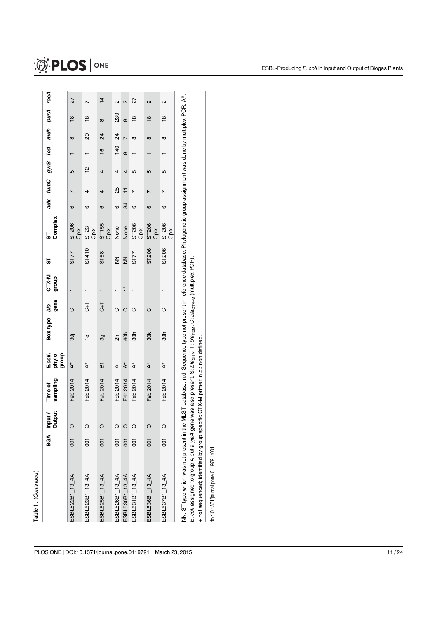|                                                                                                                                                                                                                                                                                                                                                                                                                       |                | Output<br>BGA Input | sampling<br>Time of | E.coli.<br>dno.fb<br>phylo | <b>Box type</b>         | gene<br>bla | CTX-M<br>dho.fo  | 55               | Complex<br>55 | adk | fumC | gyrB     | icd           | mdh            | purA                    | recA                    |
|-----------------------------------------------------------------------------------------------------------------------------------------------------------------------------------------------------------------------------------------------------------------------------------------------------------------------------------------------------------------------------------------------------------------------|----------------|---------------------|---------------------|----------------------------|-------------------------|-------------|------------------|------------------|---------------|-----|------|----------|---------------|----------------|-------------------------|-------------------------|
| ESBL522B1_13_4A                                                                                                                                                                                                                                                                                                                                                                                                       | $\overline{5}$ | O                   | Feb 2014            | $\rm ^*$                   | 30j                     | $\circ$     |                  | ST77             | ST206<br>Cplx | ဖ   |      | 5        |               | $\infty$       | $\frac{\infty}{\infty}$ | 27                      |
| ESBL523B1_13_4A                                                                                                                                                                                                                                                                                                                                                                                                       | $\overline{5}$ | O                   | Feb 2014            | $\rm ^*$                   | $\frac{\Theta}{\Gamma}$ | さっ          |                  | ST410            | ST23<br>Cplx  | ဖ   | 4    | <u>인</u> |               | 20             | $\frac{8}{1}$           | L                       |
| ESBL525B1_13_4A                                                                                                                                                                                                                                                                                                                                                                                                       | $\overline{5}$ |                     | Feb 2014            | ៲ਸ਼                        | တွ                      | さっ          |                  | ST <sub>58</sub> | ST155<br>Cplx | ဖ   | 4    | 4        | $\frac{6}{1}$ | 24             | $\infty$                | $\frac{1}{4}$           |
| ESBL526B1_13_4A                                                                                                                                                                                                                                                                                                                                                                                                       | $\overline{5}$ | O                   | Feb 2014            | ⋖                          | న్                      | $\circ$     |                  | $\mathbf{z}$     | None          | ဖ   | 25   | 4        | 140           | $\overline{2}$ | 239                     | $\mathbf{\Omega}$       |
| ESBL530B1_13_4A                                                                                                                                                                                                                                                                                                                                                                                                       | $\overline{5}$ |                     | Feb 2014            | $\rm ^*$                   | 60b                     | $\circ$     | $\frac{+}{\tau}$ | $\overline{z}$   | None          | 84  | ∓    | 4        | $\infty$      |                | $\infty$                | $\overline{\mathsf{c}}$ |
| ESBL531B1_13_4A                                                                                                                                                                                                                                                                                                                                                                                                       | 5d             |                     | Feb 2014            | $\rm ^*$                   | 30h                     | Õ           |                  | ST77             | ST206<br>Cplx | O   |      | 5        |               | $\infty$       | $\frac{\infty}{1}$      | 27                      |
| ESBL536B1_13_4A                                                                                                                                                                                                                                                                                                                                                                                                       | $\overline{0}$ | O                   | Feb 2014            | $\rm ^*$                   | 30 <sub>K</sub>         | $\circ$     |                  | ST206            | ST206<br>Cpix | ဖ   |      | 5        |               | $\infty$       | $\frac{8}{1}$           | $\overline{\mathsf{c}}$ |
| ESBL537B1_13_4A                                                                                                                                                                                                                                                                                                                                                                                                       | $\overline{5}$ |                     | Feb 2014            | $\rm ^*$                   | 30h                     | O           |                  | ST206            | ST206<br>Cplx | ဖ   |      | 5        |               | $\infty$       | $\overline{8}$          | $\mathbf{\Omega}$       |
| NN: ST type which was not present in the MLST database. n.d: Sequence type not present in reference database. Phylogenetic group assignment was done by multiplex PCR, A*:<br>E. coli assigned to group A but a yjaA gene was also present. S: bla <sub>sHV</sub> , T: bla <sub>TEM</sub> , C: bla <sub>CTX-M</sub> (multiplex PCR)<br>+ not sequenced; identified by group specific CTX-M primer; n.d.: non defined. |                |                     |                     |                            |                         |             |                  |                  |               |     |      |          |               |                |                         |                         |

doi:10.1371/journal.pone.0119791.t001 doi:10.1371/journal.pone.0119791.t001

# $\circledR$  PLOS  $|$  on E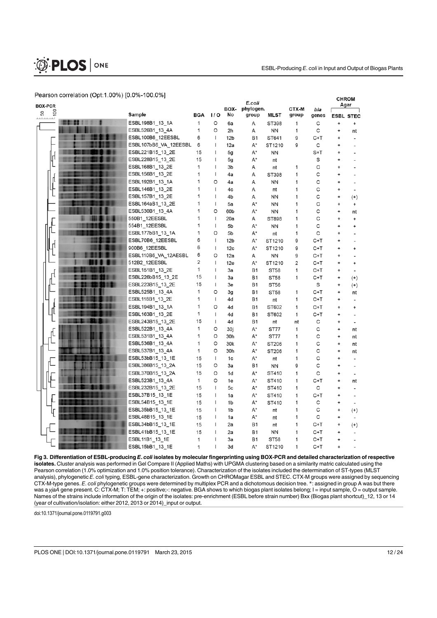

#### Pearson correlation (Opt:1.00%) [0.0%-100.0%]

| <b>BOX-PCR</b>        | Pearson correlation (Opt:1.00%) [0.0%-100.0%] |     |                | BOX-            | E.coli<br>phylogen. |             | CTX-M | bla   | <b>CHROM</b> | Agar                     |
|-----------------------|-----------------------------------------------|-----|----------------|-----------------|---------------------|-------------|-------|-------|--------------|--------------------------|
| 9<br>50<br><b>.</b> 1 | Sample                                        | BGA | 1/0            | No              | group               | MLST        | group | genes |              | <b>ESBL STEC</b>         |
|                       | ESBL198B1_13_1A                               | 1   | O              | 6a              | Α                   | ST398       | 1     | С     | ÷            | +                        |
|                       | ESBL526B1_13_4A                               | 1   | O              | 2h              | Α                   | <b>NN</b>   | 1     | С     | $\ddot{}$    | nt                       |
|                       | ESBL100B6_12EESBL                             | 6   | $\mathsf{I}$   | 12 <sub>b</sub> | <b>B1</b>           | ST641       | 9     | C+T   |              |                          |
|                       | ESBL107bB6_VA_12EESBL                         | 6   | $\mathsf{I}$   | 12a             | A*                  | ST1210      | 9     | С     |              |                          |
|                       | ESBL221B15_13_2E                              | 15  | ı              | 5g              | A*                  | <b>NN</b>   |       | $S+T$ |              |                          |
| ц                     | ESBL228B15_13_2E                              | 15  | ı              | 5g              | A*                  | nt          |       | S     |              |                          |
|                       | ESBL168B1_13_2E                               | 1   | ı              | 3b              | Α                   | nt          | 1     | C     |              |                          |
|                       | ESBL156B1_13_2E                               | 1   | $\mathsf{I}$   | 4a              | Α                   | ST398       | 1     | C     |              |                          |
| ſl                    | ESBL192B1_13_1A                               | 1   | O              | 4a              | Α                   | <b>NN</b>   | 1     | C     |              |                          |
|                       | ESBL146B1_13_2E                               | 1   | $\mathsf{I}$   | 4c              | Α                   | nt          | 1     | C     | +            |                          |
|                       | ESBL157B1_13_2E                               | 1   | I              | 4b              | Α                   | <b>NN</b>   | 1     | C     | ÷            | $^{(+)}$                 |
|                       | ESBL164aB1_13_2E                              | 1   | $\mathsf{I}$   | 5a              | A*                  | ΝN          | 1     | C     |              | $\ddot{}$                |
|                       | ESBL530B1_13_4A                               | 1   | O              | 60b             | A*                  | <b>NN</b>   | 1     | С     | ÷            | nt                       |
|                       | 550B1_12EESBL                                 | 1   | $\mathsf{I}$   | 20a             | Α                   | ST898       | 1     | С     |              | ÷                        |
|                       | 554B1_12EESBL                                 | 1   | $\mathsf{I}$   | 5b              | A*                  | NN          | 1     | C     | ÷.           | +                        |
|                       | ESBL177bB1_13_1A                              | 1   | O              | 5b              | A*                  | nt          | 1     | С     |              |                          |
|                       | ESBL70B6_12EESBL                              | 6   | $\mathsf{I}$   | 12 <sub>b</sub> | A*                  | ST1210      | 9     | C+T   | ÷            |                          |
| Ц                     | 900B6_12EESBL                                 | 6   | $\mathsf{I}$   | 12c             | A*                  | ST1210      | 9     | C+T   | +            | +                        |
|                       | ESBL110B6_VA_12AESBL                          | 6   | O              | 12a             | Α                   | ΝN          | 9     | C+T   | ÷            |                          |
|                       | 512B2_12EESBL                                 | 2   | $\overline{1}$ | 12e             | A*                  | ST1210      | 2     | C+T   | ÷            | $\ddot{}$                |
|                       | ESBL151B1_13_2E                               | 1   | I              | 3a              | Β1                  | <b>ST58</b> | 1     | C+T   | ÷            |                          |
| ц                     | ESBL226bB15_13_2E                             | 15  | $\overline{1}$ | 3a              | <b>B1</b>           | <b>ST58</b> | 1     | $C+T$ | ÷            | $^{(+)}$                 |
|                       | ESBL223B15_13_2E                              | 15  | $\mathsf{I}$   | 3e              | <b>B1</b>           | <b>ST56</b> |       | S     |              | $^{(+)}$                 |
|                       | ESBL525B1_13_4A                               | 1   | O              | 3g              | <b>B1</b>           | <b>ST58</b> | 1     | C+T   | ÷            | nt                       |
|                       | ESBL118B1_13_2E                               | 1   | $\mathbf{I}$   | 4d              | <b>B1</b>           | nt          | 1     | C+T   | $\ddot{}$    | $\overline{a}$           |
|                       | ESBL194B1_13_1A                               | 1   | O              | 4d              | <b>B1</b>           | ST602       | 1     | C+T   | $\ddot{}$    | $\ddot{}$                |
| π                     | ESBL163B1_13_2E                               | 1   | $\mathsf{I}$   | 4d              | <b>B1</b>           | ST602       | 1     | $C+T$ | +            |                          |
|                       | ESBL243B15_13_2E                              | 15  | $\mathsf{I}$   | 4d              | <b>B1</b>           | nt          | nt    | С     | ÷            |                          |
|                       | ESBL522B1_13_4A                               | 1   | O              | 30j             | A*                  | <b>ST77</b> | 1     | С     | $\ddot{}$    | nt                       |
|                       | ESBL531B1_13_4A                               | 1   | O              | 30h             | A*                  | ST77        | 1     | С     | ÷            | nt                       |
|                       | ESBL536B1 13 4A                               | 1   | O              | 30 <sub>k</sub> | A*                  | ST206       | 1     | C     | ÷            | nt                       |
|                       | ESBL537B1 13 4A                               | 1   | O              | 30h             | A*                  | ST206       | 1     | С     | ÷            | nt                       |
|                       | ESBL53bB15_13_1E                              | 15  | $\mathsf{I}$   | 1c              | A*                  | nt          | 1     | C     | ÷            |                          |
|                       | ESBL386B15_13_2A                              | 15  | O              | 3a              | <b>B1</b>           | <b>NN</b>   | 9     | C     |              |                          |
|                       | ESBL370B15_13_2A                              | 15  | O              | 1d              | A*                  | ST410       | 1     | C     | ÷            |                          |
|                       | ESBL523B1_13_4A                               | 1   | O              | 1e              | A*                  | ST410       | 1     | $C+T$ | ÷            | nt                       |
|                       | ESBL232B15_13_2E                              | 15  | $\mathsf{I}$   | 5c              | A*                  | ST410       | 1     | С     | ÷            |                          |
|                       | ESBL37B15_13_1E                               | 15  | ı              | 1a              | A*                  | ST410       | 1     | $C+T$ | ÷            |                          |
|                       | ESBL54B15_13_1E                               | 15  | $\mathsf{I}$   | 1 <sub>b</sub>  | A*                  | ST410       | 1     | C     |              |                          |
|                       | ESBL35bB15_13_1E                              | 15  | I              | 1 <sub>b</sub>  | A*                  | nt          | 1     | C     | $\ddot{}$    | $^{(+)}$                 |
|                       | ESBL48B15_13_1E                               | 15  | $\mathsf{I}$   | 1a              | A*                  | nt          | 1     | С     | $\ddot{}$    | $\overline{\phantom{a}}$ |
|                       | ESBL34bB15_13_1E                              | 15  | ı              | 2a              | Β1                  | nt          | 1     | C+T   | ÷            | $^{(+)}$                 |
|                       | ESBL41bB15_13_1E                              | 15  | ı              | 2a              | <b>B1</b>           | <b>NN</b>   | 1     | C+T   |              |                          |
|                       | ESBL11B1_13_1E                                | 1   |                | 3a              | <b>B1</b>           | <b>ST58</b> | 1     | C+T   |              |                          |
|                       | ESBL15bB1_13_1E                               | 1   |                | 3d              | A*                  | ST1210      | 1     | $C+T$ |              |                          |

Fig 3. Differentiation of ESBL-producing E. coli isolates by molecular fingerprinting using BOX-PCR and detailed characterization of respective isolates. Cluster analysis was performed in Gel Compare II (Applied Maths) with UPGMA clustering based on a similarity matric calculated using the Pearson correlation (1.0% optimization and 1.0% position tolerance). Characterization of the isolates included the determination of ST-types (MLST analysis), phylogenetic E. coli typing, ESBL-gene characterization. Growth on CHROMagar ESBL and STEC. CTX-M groups were assigned by sequencing CTX-M-type genes. E. coli phylogenetic groups were determined by multiplex PCR and a dichotomous decision tree. \*: assigned in group A was but there was a yjaA gene present. C: CTX-M; T: TEM; +: positive;-: negative. BGA shows to which biogas plant isolates belong; I = input sample, O = output sample. Names of the strains include information of the origin of the isolates: pre-enrichment (ESBL before strain number) Bxx (Biogas plant shortcut)\_12, 13 or 14 (year of cultivation/isolation: either 2012, 2013 or 2014)\_input or output.

doi:10.1371/journal.pone.0119791.g003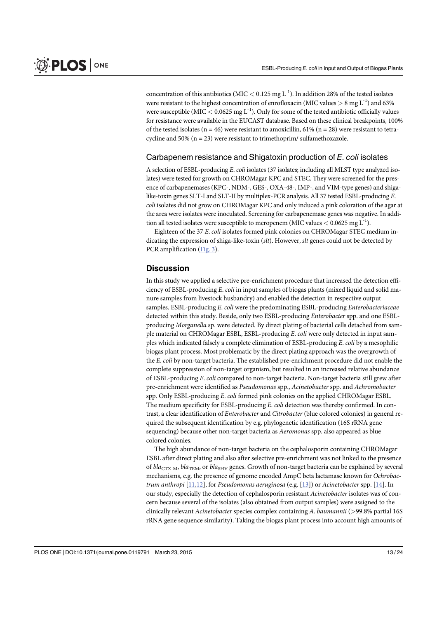concentration of this antibiotics (MIC  $< 0.125$  mg L<sup>-1</sup>). In addition 28% of the tested isolates were resistant to the highest concentration of enrofloxacin (MIC values  $> 8 \text{ mg } L^{-1}$ ) and 63% were susceptible (MIC  $<$  0.0625 mg L<sup>-1</sup>). Only for some of the tested antibiotic officially values for resistance were available in the EUCAST database. Based on these clinical breakpoints, 100% of the tested isolates ( $n = 46$ ) were resistant to amoxicillin, 61% ( $n = 28$ ) were resistant to tetracycline and 50% ( $n = 23$ ) were resistant to trimethoprim/sulfamethoxazole.

#### Carbapenem resistance and Shigatoxin production of E. coli isolates

A selection of ESBL-producing E. coli isolates (37 isolates; including all MLST type analyzed isolates) were tested for growth on CHROMagar KPC and STEC. They were screened for the presence of carbapenemases (KPC-, NDM-, GES-, OXA-48-, IMP-, and VIM-type genes) and shigalike-toxin genes SLT-I and SLT-II by multiplex-PCR analysis. All 37 tested ESBL-producing E. coli isolates did not grow on CHROMagar KPC and only induced a pink coloration of the agar at the area were isolates were inoculated. Screening for carbapenemase genes was negative. In addition all tested isolates were susceptible to meropenem (MIC values  $< 0.0625$  mg L<sup>-1</sup>).

Eighteen of the 37 E. coli isolates formed pink colonies on CHROMagar STEC medium indicating the expression of shiga-like-toxin (slt). However, slt genes could not be detected by PCR amplification (Fig. 3).

#### **Discussion**

In this study we applied a selective pre-enrichment procedure that increased the detection efficiency of ESBL-producing E. coli in input samples of biogas plants (mixed liquid and solid manure samples from livestock husbandry) and enabled the detection in respective output samples. ESBL-producing E. coli were the predominating ESBL-producing Enterobacteriaceae detected within this study. Beside, only two ESBL-producing Enterobacter spp. and one ESBLproducing Morganella sp. were detected. By direct plating of bacterial cells detached from sample material on CHROMagar ESBL, ESBL-producing E. coli were only detected in input samples which indicated falsely a complete elimination of ESBL-producing E. coli by a mesophilic biogas plant process. Most problematic by the direct plating approach was the overgrowth of the E. coli by non-target bacteria. The established pre-enrichment procedure did not enable the complete suppression of non-target organism, but resulted in an increased relative abundance of ESBL-producing E. coli compared to non-target bacteria. Non-target bacteria still grew after pre-enrichment were identified as Pseudomonas spp., Acinetobacter spp. and Achromobacter spp. Only ESBL-producing E. coli formed pink colonies on the applied CHROMagar ESBL. The medium specificity for ESBL-producing E. coli detection was thereby confirmed. In contrast, a clear identification of Enterobacter and Citrobacter (blue colored colonies) in general required the subsequent identification by e.g. phylogenetic identification (16S rRNA gene sequencing) because other non-target bacteria as Aeromonas spp. also appeared as blue colored colonies.

The high abundance of non-target bacteria on the cephalosporin containing CHROMagar ESBL after direct plating and also after selective pre-enrichment was not linked to the presence of  $bla_{\text{CTX-}M}$ ,  $bla_{\text{TEM}}$ , or  $bla_{\text{SHV}}$  genes. Growth of non-target bacteria can be explained by several mechanisms, e.g. the presence of genome encoded AmpC beta lactamase known for Ochrobactrum anthropi  $[11,12]$ , for Pseudomonas aeruginosa (e.g.  $[13]$ ) or Acinetobacter spp.  $[14]$ . In our study, especially the detection of cephalosporin resistant Acinetobacter isolates was of concern because several of the isolates (also obtained from output samples) were assigned to the clinically relevant Acinetobacter species complex containing A. baumannii (>99.8% partial 16S rRNA gene sequence similarity). Taking the biogas plant process into account high amounts of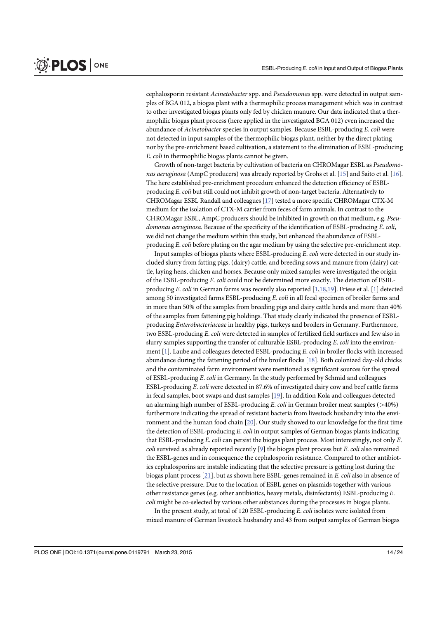cephalosporin resistant Acinetobacter spp. and Pseudomonas spp. were detected in output samples of BGA 012, a biogas plant with a thermophilic process management which was in contrast to other investigated biogas plants only fed by chicken manure. Our data indicated that a thermophilic biogas plant process (here applied in the investigated BGA 012) even increased the abundance of Acinetobacter species in output samples. Because ESBL-producing E. coli were not detected in input samples of the thermophilic biogas plant, neither by the direct plating nor by the pre-enrichment based cultivation, a statement to the elimination of ESBL-producing E. coli in thermophilic biogas plants cannot be given.

Growth of non-target bacteria by cultivation of bacteria on CHROMagar ESBL as Pseudomonas aeruginosa (AmpC producers) was already reported by Grohs et al. [15] and Saito et al. [16]. The here established pre-enrichment procedure enhanced the detection efficiency of ESBLproducing E. coli but still could not inhibit growth of non-target bacteria. Alternatively to CHROMagar ESBL Randall and colleagues [17] tested a more specific CHROMagar CTX-M medium for the isolation of CTX-M carrier from feces of farm animals. In contrast to the CHROMagar ESBL, AmpC producers should be inhibited in growth on that medium, e.g. Pseudomonas aeruginosa. Because of the specificity of the identification of ESBL-producing E. coli, we did not change the medium within this study, but enhanced the abundance of ESBLproducing E. coli before plating on the agar medium by using the selective pre-enrichment step.

Input samples of biogas plants where ESBL-producing E. coli were detected in our study included slurry from fatting pigs, (dairy) cattle, and breeding sows and manure from (dairy) cattle, laying hens, chicken and horses. Because only mixed samples were investigated the origin of the ESBL-producing E. coli could not be determined more exactly. The detection of ESBLproducing E. coli in German farms was recently also reported  $[1,18,19]$ . Friese et al. [1] detected among 50 investigated farms ESBL-producing E. coli in all fecal specimen of broiler farms and in more than 50% of the samples from breeding pigs and dairy cattle herds and more than 40% of the samples from fattening pig holdings. That study clearly indicated the presence of ESBLproducing Enterobacteriaceae in healthy pigs, turkeys and broilers in Germany. Furthermore, two ESBL-producing E. coli were detected in samples of fertilized field surfaces and few also in slurry samples supporting the transfer of culturable ESBL-producing  $E$ , coli into the environment [1]. Laube and colleagues detected ESBL-producing E. coli in broiler flocks with increased abundance during the fattening period of the broiler flocks [18]. Both colonized day-old chicks and the contaminated farm environment were mentioned as significant sources for the spread of ESBL-producing E. coli in Germany. In the study performed by Schmid and colleagues ESBL-producing E. coli were detected in 87.6% of investigated dairy cow and beef cattle farms in fecal samples, boot swaps and dust samples [19]. In addition Kola and colleagues detected an alarming high number of ESBL-producing  $E$ . coli in German broiler meat samples ( $>$ 40%) furthermore indicating the spread of resistant bacteria from livestock husbandry into the environment and the human food chain [20]. Our study showed to our knowledge for the first time the detection of ESBL-producing E. coli in output samples of German biogas plants indicating that ESBL-producing E. coli can persist the biogas plant process. Most interestingly, not only E. *coli* survived as already reported recently [9] the biogas plant process but E. *coli* also remained the ESBL-genes and in consequence the cephalosporin resistance. Compared to other antibiotics cephalosporins are instable indicating that the selective pressure is getting lost during the biogas plant process  $[21]$ , but as shown here ESBL-genes remained in E. coli also in absence of the selective pressure. Due to the location of ESBL genes on plasmids together with various other resistance genes (e.g. other antibiotics, heavy metals, disinfectants) ESBL-producing E. coli might be co-selected by various other substances during the processes in biogas plants.

In the present study, at total of 120 ESBL-producing E. coli isolates were isolated from mixed manure of German livestock husbandry and 43 from output samples of German biogas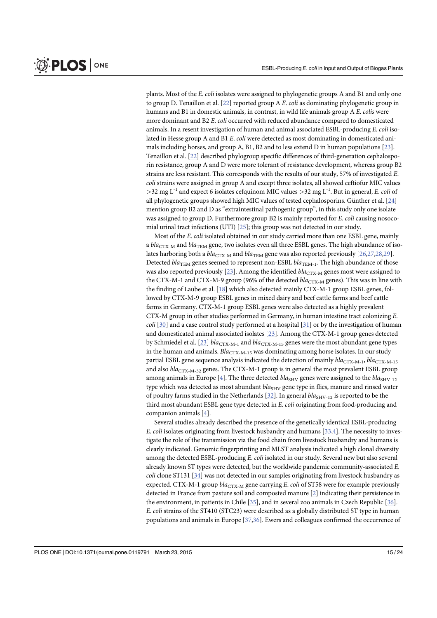plants. Most of the E. coli isolates were assigned to phylogenetic groups A and B1 and only one to group D. Tenaillon et al.  $[22]$  reported group A E. *coli* as dominating phylogenetic group in humans and B1 in domestic animals, in contrast, in wild life animals group A E. colis were more dominant and B2 E. coli occurred with reduced abundance compared to domesticated animals. In a resent investigation of human and animal associated ESBL-producing E. coli isolated in Hesse group A and B1 E. coli were detected as most dominating in domesticated animals including horses, and group A, B1, B2 and to less extend D in human populations [23]. Tenaillon et al. [22] described phylogroup specific differences of third-generation cephalosporin resistance, group A and D were more tolerant of resistance development, whereas group B2 strains are less resistant. This corresponds with the results of our study, 57% of investigated E. coli strains were assigned in group A and except three isolates, all showed ceftiofur MIC values  $>$ 32 mg L<sup>-1</sup> and expect 6 isolates cefquinom MIC values  $>$ 32 mg L<sup>-1</sup>. But in general, E. coli of all phylogenetic groups showed high MIC values of tested cephalosporins. Günther et al. [24] mention group B2 and D as "extraintestinal pathogenic group", in this study only one isolate was assigned to group D. Furthermore group B2 is mainly reported for E. coli causing nosocomial urinal tract infections (UTI) [25]; this group was not detected in our study.

Most of the E. coli isolated obtained in our study carried more than one ESBL gene, mainly a  $bla_{\text{CTX-M}}$  and  $bla_{\text{TEM}}$  gene, two isolates even all three ESBL genes. The high abundance of isolates harboring both a  $bla_{\text{CTX-}M}$  and  $bla_{\text{TEM}}$  gene was also reported previously  $[26,27,28,29]$ . Detected  $bla_{\text{TEM}}$  genes seemed to represent non-ESBL  $bla_{\text{TEM-1}}$ . The high abundance of those was also reported previously [23]. Among the identified  $bla_{\text{CTX-M}}$  genes most were assigned to the CTX-M-1 and CTX-M-9 group (96% of the detected  $bla_{CTX-M}$  genes). This was in line with the finding of Laube et al. [18] which also detected mainly CTX-M-1 group ESBL genes, followed by CTX-M-9 group ESBL genes in mixed dairy and beef cattle farms and beef cattle farms in Germany. CTX-M-1 group ESBL genes were also detected as a highly prevalent CTX-M group in other studies performed in Germany, in human intestine tract colonizing E. *coli* [30] and a case control study performed at a hospital [31] or by the investigation of human and domesticated animal associated isolates [23]. Among the CTX-M-1 group genes detected by Schmiedel et al. [23]  $bla_{\text{CTX-M-1}}$  and  $bla_{\text{CTX-M-15}}$  genes were the most abundant gene types in the human and animals.  $Bla_{\text{CTX-M-15}}$  was dominating among horse isolates. In our study partial ESBL gene sequence analysis indicated the detection of mainly  $bla_{\text{CTX-M-1}}$ ,  $bla_{\text{CTX-M-15}}$ and also  $bla_{CTX-M-32}$  genes. The CTX-M-1 group is in general the most prevalent ESBL group among animals in Europe [4]. The three detected  $bla<sub>SHV</sub>$  genes were assigned to the  $bla<sub>SHV-12</sub>$ type which was detected as most abundant  $bla<sub>SHV</sub>$  gene type in flies, manure and rinsed water of poultry farms studied in the Netherlands [ $32$ ]. In general  $bla_{SHV-12}$  is reported to be the third most abundant ESBL gene type detected in E. coli originating from food-producing and companion animals [4].

Several studies already described the presence of the genetically identical ESBL-producing E. coli isolates originating from livestock husbandry and humans  $[33,4]$ . The necessity to investigate the role of the transmission via the food chain from livestock husbandry and humans is clearly indicated. Genomic fingerprinting and MLST analysis indicated a high clonal diversity among the detected ESBL-producing E. coli isolated in our study. Several new but also several already known ST types were detected, but the worldwide pandemic community-associated E. coli clone ST131 [34] was not detected in our samples originating from livestock husbandry as expected. CTX-M-1 group  $bla_{\text{CTX-M}}$  gene carrying E. coli of ST58 were for example previously detected in France from pasture soil and composted manure [2] indicating their persistence in the environment, in patients in Chile [35], and in several zoo animals in Czech Republic [36]. E. coli strains of the ST410 (STC23) were described as a globally distributed ST type in human populations and animals in Europe [37,36]. Ewers and colleagues confirmed the occurrence of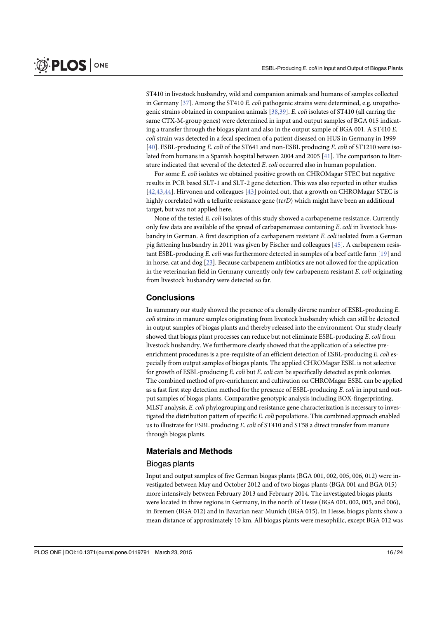ST410 in livestock husbandry, wild and companion animals and humans of samples collected in Germany  $[37]$ . Among the ST410 E. *coli* pathogenic strains were determined, e.g. uropathogenic strains obtained in companion animals [38,39]. E. coli isolates of ST410 (all carring the same CTX-M-group genes) were determined in input and output samples of BGA 015 indicating a transfer through the biogas plant and also in the output sample of BGA 001. A ST410 E. coli strain was detected in a fecal specimen of a patient diseased on HUS in Germany in 1999 [40]. ESBL-producing E. coli of the ST641 and non-ESBL producing E. coli of ST1210 were isolated from humans in a Spanish hospital between 2004 and 2005 [41]. The comparison to literature indicated that several of the detected E. coli occurred also in human population.

For some E. coli isolates we obtained positive growth on CHROMagar STEC but negative results in PCR based SLT-1 and SLT-2 gene detection. This was also reported in other studies [42,43,44]. Hirvonen and colleagues [43] pointed out, that a growth on CHROMagar STEC is highly correlated with a tellurite resistance gene (terD) which might have been an additional target, but was not applied here.

None of the tested E. coli isolates of this study showed a carbapeneme resistance. Currently only few data are available of the spread of carbapenemase containing E. coli in livestock husbandry in German. A first description of a carbapenem resistant E. coli isolated from a German pig fattening husbandry in 2011 was given by Fischer and colleagues [45]. A carbapenem resistant ESBL-producing E. coli was furthermore detected in samples of a beef cattle farm [19] and in horse, cat and dog [23]. Because carbapenem antibiotics are not allowed for the application in the veterinarian field in Germany currently only few carbapenem resistant  $E$ . *coli* originating from livestock husbandry were detected so far.

#### **Conclusions**

In summary our study showed the presence of a clonally diverse number of ESBL-producing E. coli strains in manure samples originating from livestock husbandry which can still be detected in output samples of biogas plants and thereby released into the environment. Our study clearly showed that biogas plant processes can reduce but not eliminate ESBL-producing E. coli from livestock husbandry. We furthermore clearly showed that the application of a selective preenrichment procedures is a pre-requisite of an efficient detection of ESBL-producing E. coli especially from output samples of biogas plants. The applied CHROMagar ESBL is not selective for growth of ESBL-producing E. coli but E. coli can be specifically detected as pink colonies. The combined method of pre-enrichment and cultivation on CHROMagar ESBL can be applied as a fast first step detection method for the presence of ESBL-producing E. coli in input and output samples of biogas plants. Comparative genotypic analysis including BOX-fingerprinting, MLST analysis, E. coli phylogrouping and resistance gene characterization is necessary to investigated the distribution pattern of specific E. coli populations. This combined approach enabled us to illustrate for ESBL producing E. coli of ST410 and ST58 a direct transfer from manure through biogas plants.

#### Materials and Methods

#### Biogas plants

Input and output samples of five German biogas plants (BGA 001, 002, 005, 006, 012) were investigated between May and October 2012 and of two biogas plants (BGA 001 and BGA 015) more intensively between February 2013 and February 2014. The investigated biogas plants were located in three regions in Germany, in the north of Hesse (BGA 001, 002, 005, and 006), in Bremen (BGA 012) and in Bavarian near Munich (BGA 015). In Hesse, biogas plants show a mean distance of approximately 10 km. All biogas plants were mesophilic, except BGA 012 was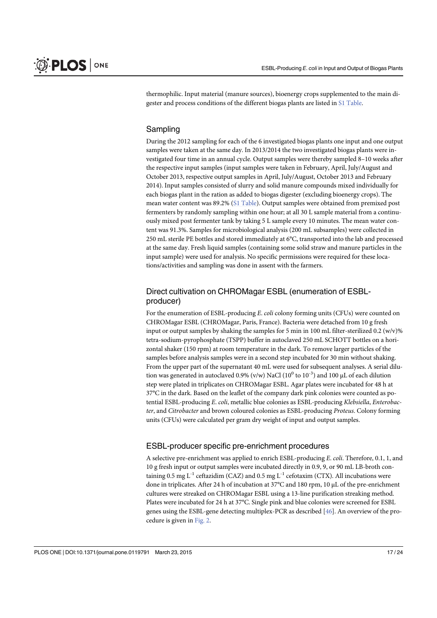thermophilic. Input material (manure sources), bioenergy crops supplemented to the main digester and process conditions of the different biogas plants are listed in S1 Table.

#### Sampling

During the 2012 sampling for each of the 6 investigated biogas plants one input and one output samples were taken at the same day. In 2013/2014 the two investigated biogas plants were investigated four time in an annual cycle. Output samples were thereby sampled 8–10 weeks after the respective input samples (input samples were taken in February, April, July/August and October 2013, respective output samples in April, July/August, October 2013 and February 2014). Input samples consisted of slurry and solid manure compounds mixed individually for each biogas plant in the ration as added to biogas digester (excluding bioenergy crops). The mean water content was 89.2% (S1 Table). Output samples were obtained from premixed post fermenters by randomly sampling within one hour; at all 30 L sample material from a continuously mixed post fermenter tank by taking 5 L sample every 10 minutes. The mean water content was 91.3%. Samples for microbiological analysis (200 mL subsamples) were collected in 250 mL sterile PE bottles and stored immediately at 6°C, transported into the lab and processed at the same day. Fresh liquid samples (containing some solid straw and manure particles in the input sample) were used for analysis. No specific permissions were required for these locations/activities and sampling was done in assent with the farmers.

## Direct cultivation on CHROMagar ESBL (enumeration of ESBLproducer)

For the enumeration of ESBL-producing E. coli colony forming units (CFUs) were counted on CHROMagar ESBL (CHROMagar, Paris, France). Bacteria were detached from 10 g fresh input or output samples by shaking the samples for 5 min in 100 mL filter-sterilized 0.2 (w/v)% tetra-sodium-pyrophosphate (TSPP) buffer in autoclaved 250 mL SCHOTT bottles on a horizontal shaker (150 rpm) at room temperature in the dark. To remove larger particles of the samples before analysis samples were in a second step incubated for 30 min without shaking. From the upper part of the supernatant 40 mL were used for subsequent analyses. A serial dilution was generated in autoclaved 0.9% (v/w) NaCl ( $10^0$  to  $10^{-3}$ ) and  $100 \mu$ L of each dilution step were plated in triplicates on CHROMagar ESBL. Agar plates were incubated for 48 h at 37°C in the dark. Based on the leaflet of the company dark pink colonies were counted as potential ESBL-producing E. coli, metallic blue colonies as ESBL-producing Klebsiella, Enterobacter, and Citrobacter and brown coloured colonies as ESBL-producing Proteus. Colony forming units (CFUs) were calculated per gram dry weight of input and output samples.

#### ESBL-producer specific pre-enrichment procedures

A selective pre-enrichment was applied to enrich ESBL-producing E. coli. Therefore, 0.1, 1, and 10 g fresh input or output samples were incubated directly in 0.9, 9, or 90 mL LB-broth containing 0.5 mg  $L^{-1}$  ceftazidim (CAZ) and 0.5 mg  $L^{-1}$  cefotaxim (CTX). All incubations were done in triplicates. After 24 h of incubation at 37°C and 180 rpm, 10 μL of the pre-enrichment cultures were streaked on CHROMagar ESBL using a 13-line purification streaking method. Plates were incubated for 24 h at 37°C. Single pink and blue colonies were screened for ESBL genes using the ESBL-gene detecting multiplex-PCR as described [46]. An overview of the procedure is given in Fig. 2.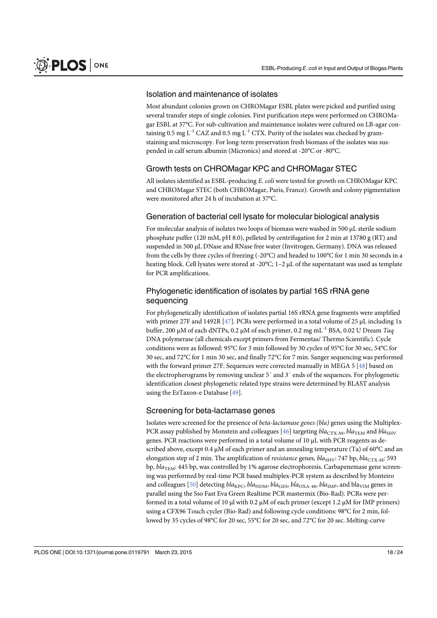#### Isolation and maintenance of isolates

Most abundant colonies grown on CHROMagar ESBL plates were picked and purified using several transfer steps of single colonies. First purification steps were performed on CHROMagar ESBL at 37°C. For sub-cultivation and maintenance isolates were cultured on LB-agar containing 0.5 mg  $L^{-1}$  CAZ and 0.5 mg  $L^{-1}$  CTX. Purity of the isolates was checked by gramstaining and microscopy. For long-term preservation fresh biomass of the isolates was suspended in calf serum albumin (Micronics) and stored at -20°C or -80°C.

## Growth tests on CHROMagar KPC and CHROMagar STEC

All isolates identified as ESBL-producing E. coli were tested for growth on CHROMagar KPC and CHROMagar STEC (both CHROMagar, Paris, France). Growth and colony pigmentation were monitored after 24 h of incubation at 37°C.

#### Generation of bacterial cell lysate for molecular biological analysis

For molecular analysis of isolates two loops of biomass were washed in 500 μL sterile sodium phosphate puffer (120 mM, pH 8.0), pelleted by centrifugation for 2 min at 13780 g (RT) and suspended in 500 μL DNase and RNase free water (Invitrogen, Germany). DNA was released from the cells by three cycles of freezing (-20°C) and headed to 100°C for 1 min 30 seconds in a heating block. Cell lysates were stored at -20°C; 1–2 μL of the supernatant was used as template for PCR amplifications.

## Phylogenetic identification of isolates by partial 16S rRNA gene sequencing

For phylogenetically identification of isolates partial 16S rRNA gene fragments were amplified with primer 27F and 1492R [47]. PCRs were performed in a total volume of 25 μL including 1x buffer, 200 μM of each dNTPs, 0.2 μM of each primer, 0.2 mg mL<sup>-1</sup> BSA, 0.02 U Dream Taq DNA polymerase (all chemicals except primers from Fermentas/ Thermo Scientific). Cycle conditions were as followed: 95°C for 3 min followed by 30 cycles of 95°C for 30 sec, 54°C for 30 sec, and 72°C for 1 min 30 sec, and finally 72°C for 7 min. Sanger sequencing was performed with the forward primer 27F. Sequences were corrected manually in MEGA 5 [48] based on the electropherograms by removing unclear 5´ and 3´ ends of the sequences. For phylogenetic identification closest phylogenetic related type strains were determined by BLAST analysis using the EzTaxon-e Database [49].

## Screening for beta-lactamase genes

Isolates were screened for the presence of beta-lactamase genes (bla) genes using the Multiplex-PCR assay published by Monstein and colleagues [46] targeting  $bla_{CTX-M}$ ,  $bla_{TEM}$  and  $bla_{SHV}$ genes. PCR reactions were performed in a total volume of 10 μL with PCR reagents as described above, except 0.4 μM of each primer and an annealing temperature (Ta) of 60°C and an elongation step of 2 min. The amplification of *resistance* genes,  $bla_{SHV}$ : 747 bp,  $bla_{CTX-M}$ : 593 bp,  $bla$ <sub>TEM</sub>: 445 bp, was controlled by 1% agarose electrophoresis. Carbapenemase gene screening was performed by real-time PCR based multiplex-PCR system as described by Monteiro and colleagues [50] detecting  $bla_{\text{KPC}}$ ,  $bla_{\text{NDM}}$ ,  $bla_{\text{GES}}$ ,  $bla_{\text{OXA-48}}$ ,  $bla_{\text{IMP}}$ , and  $bla_{\text{VIM}}$  genes in parallel using the Sso Fast Eva Green Realtime PCR mastermix (Bio-Rad). PCRs were performed in a total volume of 10 μl with 0.2 μM of each primer (except 1.2 μM for IMP primers) using a CFX96 Touch cycler (Bio-Rad) and following cycle conditions: 98°C for 2 min, followed by 35 cycles of 98°C for 20 sec, 55°C for 20 sec, and 72°C for 20 sec. Melting-curve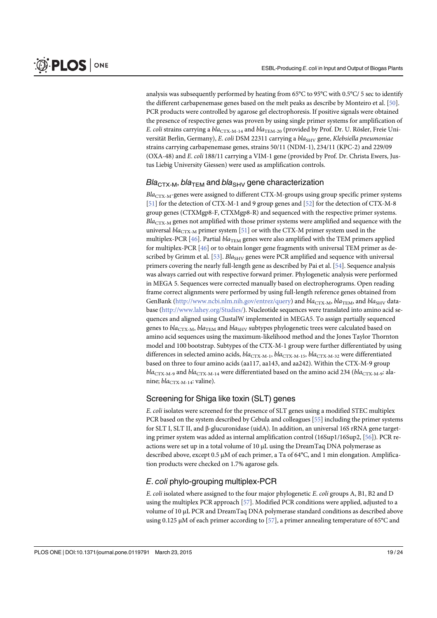analysis was subsequently performed by heating from 65°C to 95°C with 0.5°C/ 5 sec to identify the different carbapenemase genes based on the melt peaks as describe by Monteiro et al. [50]. PCR products were controlled by agarose gel electrophoresis. If positive signals were obtained the presence of respective genes was proven by using single primer systems for amplification of E. coli strains carrying a  $bla_{\text{CTX-M-14}}$  and  $bla_{\text{TEM-20}}$  (provided by Prof. Dr. U. Rösler, Freie Universität Berlin, Germany), E. coli DSM 22311 carrying a bla<sub>SHV</sub> gene, Klebsiella pneumoniae strains carrying carbapenemase genes, strains 50/11 (NDM-1), 234/11 (KPC-2) and 229/09 (OXA-48) and E. coli 188/11 carrying a VIM-1 gene (provided by Prof. Dr. Christa Ewers, Justus Liebig University Giessen) were used as amplification controls.

#### $Bla<sub>CTX-M</sub>$ , bla<sub>TEM</sub> and bla<sub>SHV</sub> gene characterization

 $Bla<sub>CTX-M</sub>$ -genes were assigned to different CTX-M-groups using group specific primer systems [51] for the detection of CTX-M-1 and 9 group genes and [52] for the detection of CTX-M-8 group genes (CTXMgp8-F, CTXMgp8-R) and sequenced with the respective primer systems.  $Bla_{\text{CTX-M}}$  genes not amplified with those primer systems were amplified and sequence with the universal  $bla_{CTX-M}$  primer system [51] or with the CTX-M primer system used in the multiplex-PCR [ $46$ ]. Partial  $bla_{\text{TEM}}$  genes were also amplified with the TEM primers applied for multiplex-PCR [46] or to obtain longer gene fragments with universal TEM primer as described by Grimm et al. [53]. Bla<sub>SHV</sub> genes were PCR amplified and sequence with universal primers covering the nearly full-length gene as described by Pai et al. [54]. Sequence analysis was always carried out with respective forward primer. Phylogenetic analysis were performed in MEGA 5. Sequences were corrected manually based on electropherograms. Open reading frame correct alignments were performed by using full-length reference genes obtained from GenBank ([http://www.ncbi.nlm.nih.gov/entrez/query\)](http://www.ncbi.nlm.nih.gov/entrez/query) and  $bla_{\text{CTX-M}}$ ,  $bla_{\text{TEM}}$ , and  $bla_{\text{SHV}}$  database [\(http://www.lahey.org/Studies/](http://www.lahey.org/Studies/)). Nucleotide sequences were translated into amino acid sequences and aligned using ClustalW implemented in MEGA5. To assign partially sequenced genes to  $bla_{\text{CTX-M}}$ ,  $bla_{\text{TEM}}$  and  $bla_{\text{SHV}}$  subtypes phylogenetic trees were calculated based on amino acid sequences using the maximum-likelihood method and the Jones Taylor Thornton model and 100 bootstrap. Subtypes of the CTX-M-1 group were further differentiated by using differences in selected amino acids,  $bla_{\text{CTX-M-1}}$ ,  $bla_{\text{CTX-M-15}}$ ,  $bla_{\text{CTX-M-32}}$  were differentiated based on three to four amino acids (aa117, aa143, and aa242). Within the CTX-M-9 group  $bla_{\text{CTX-M-9}}$  and  $bla_{\text{CTX-M-14}}$  were differentiated based on the amino acid 234 ( $bla_{\text{CTX-M-9}}$ : alanine;  $bla_{CTX-M-14}$ : valine).

## Screening for Shiga like toxin (SLT) genes

E. coli isolates were screened for the presence of SLT genes using a modified STEC multiplex PCR based on the system described by Cebula and colleagues [55] including the primer systems for SLT I, SLT II, and β-glucuronidase (uidA). In addition, an universal 16S rRNA gene targeting primer system was added as internal amplification control (16Sup1/16Sup2, [56]). PCR reactions were set up in a total volume of 10 μL using the DreamTaq DNA polymerase as described above, except 0.5 μM of each primer, a Ta of 64°C, and 1 min elongation. Amplification products were checked on 1.7% agarose gels.

## E. coli phylo-grouping multiplex-PCR

E. coli isolated where assigned to the four major phylogenetic E. coli groups A, B1, B2 and D using the multiplex PCR approach [57]. Modified PCR conditions were applied, adjusted to a volume of 10 μL PCR and DreamTaq DNA polymerase standard conditions as described above using 0.125 μM of each primer according to [57], a primer annealing temperature of 65 $^{\circ}$ C and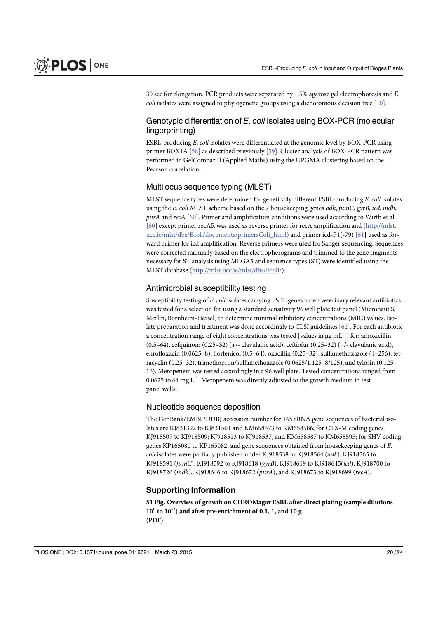30 sec for elongation. PCR products were separated by 1.5% agarose gel electrophoresis and E. coli isolates were assigned to phylogenetic groups using a dichotomous decision tree [10].

## Genotypic differentiation of E. coli isolates using BOX-PCR (molecular fingerprinting)

ESBL-producing E. coli isolates were differentiated at the genomic level by BOX-PCR using primer BOX1A [58] as described previously [59]. Cluster analysis of BOX-PCR pattern was performed in GelCompar II (Applied Maths) using the UPGMA clustering based on the Pearson correlation.

#### Multilocus sequence typing (MLST)

MLST sequence types were determined for genetically different ESBL-producing E. coli isolates using the E. coli MLST scheme based on the 7 housekeeping genes *adk, fumC, gyrB, icd, mdh,* purA and recA [60]. Primer and amplification conditions were used according to Wirth et al. [60] except primer recAR was used as reverse primer for recA amplification and ([http://mlst.](http://mlst.ucc.ie/mlst/dbs/Ecoli/documents/primersColi_html) [ucc.ie/mlst/dbs/Ecoli/documents/primersColi\\_html](http://mlst.ucc.ie/mlst/dbs/Ecoli/documents/primersColi_html)) and primer icd-P1(-79) [61] used as forward primer for icd amplification. Reverse primers were used for Sanger sequencing. Sequences were corrected manually based on the electropherograms and trimmed to the gene fragments necessary for ST analysis using MEGA5 and sequence types (ST) were identified using the MLST database [\(http://mlst.ucc.ie/mlst/dbs/Ecoli/](http://mlst.ucc.ie/mlst/dbs/Ecoli/)).

## Antimicrobial susceptibility testing

Susceptibility testing of E. coli isolates carrying ESBL genes to ten veterinary relevant antibiotics was tested for a selection for using a standard sensitivity 96 well plate test panel (Micronaut S, Merlin, Bornheim-Hersel) to determine minimal inhibitory concentrations (MIC) values. Isolate preparation and treatment was done accordingly to CLSI guidelines  $[62]$ . For each antibiotic a concentration range of eight concentrations was tested [values in  $\mu$ g mL<sup>-1</sup>] for: amoxicillin (0.5–64), cefquinom (0.25–32) (+/- clavulanic acid), ceftiofur (0.25–32) (+/- clavulanic acid), enrofloxacin (0.0625–8), florfenicol (0.5–64), oxacillin (0.25–32), sulfamethoxazole (4–256), tetracyclin (0.25–32), trimethoprim/sulfamethoxazole (0.0625/1.125–8/125), and tylosin (0.125– 16). Meropenem was tested accordingly in a 96 well plate. Tested concentrations ranged from 0.0625 to 64 mg  $L^{-1}$ . Meropenem was directly adjusted to the growth medium in test panel wells.

#### Nucleotide sequence deposition

The GenBank/EMBL/DDBJ accession number for 16S rRNA gene sequences of bacterial isolates are KJ831392 to KJ831561 and KM658573 to KM658586; for CTX-M coding genes KJ918507 to KJ918509; KJ918513 to KJ918537, and KM658587 to KM658595; for SHV coding genes KP165080 to KP165082, and gene sequences obtained from housekeeping genes of E. coli isolates were partially published under KJ918538 to KJ918564 (adk), KJ918565 to KJ918591 (fumC), KJ918592 to KJ918618 (gyrB), KJ918619 to KJ918645(icd), KJ918700 to KJ918726 (mdh), KJ918646 to KJ918672 (purA), and KJ918673 to KJ918699 (recA).

#### Supporting Information

[S1 Fig.](http://www.plosone.org/article/fetchSingleRepresentation.action?uri=info:doi/10.1371/journal.pone.0119791.s001) Overview of growth on CHROMagar ESBL after direct plating (sample dilutions  $10^0$  to  $10^{-2}$ ) and after pre-enrichment of 0.1, 1, and 10 g. (PDF)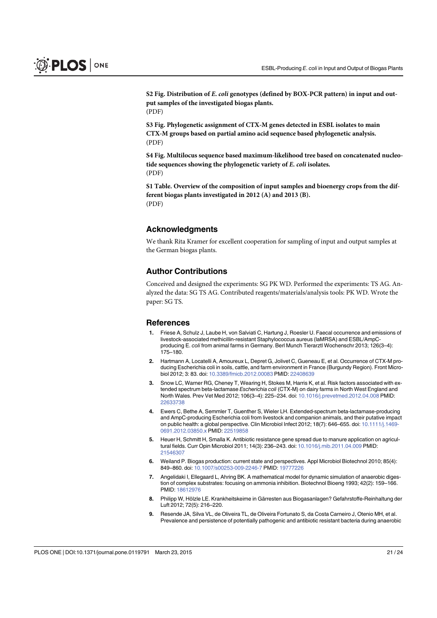[S2 Fig.](http://www.plosone.org/article/fetchSingleRepresentation.action?uri=info:doi/10.1371/journal.pone.0119791.s002) Distribution of E. coli genotypes (defined by BOX-PCR pattern) in input and output samples of the investigated biogas plants. (PDF)

[S3 Fig.](http://www.plosone.org/article/fetchSingleRepresentation.action?uri=info:doi/10.1371/journal.pone.0119791.s003) Phylogenetic assignment of CTX-M genes detected in ESBL isolates to main CTX-M groups based on partial amino acid sequence based phylogenetic analysis. (PDF)

[S4 Fig.](http://www.plosone.org/article/fetchSingleRepresentation.action?uri=info:doi/10.1371/journal.pone.0119791.s004) Multilocus sequence based maximum-likelihood tree based on concatenated nucleotide sequences showing the phylogenetic variety of E. coli isolates. (PDF)

[S1 Table.](http://www.plosone.org/article/fetchSingleRepresentation.action?uri=info:doi/10.1371/journal.pone.0119791.s005) Overview of the composition of input samples and bioenergy crops from the different biogas plants investigated in 2012 (A) and 2013 (B). (PDF)

#### Acknowledgments

We thank Rita Kramer for excellent cooperation for sampling of input and output samples at the German biogas plants.

#### Author Contributions

Conceived and designed the experiments: SG PK WD. Performed the experiments: TS AG. Analyzed the data: SG TS AG. Contributed reagents/materials/analysis tools: PK WD. Wrote the paper: SG TS.

#### References

- 1. Friese A, Schulz J, Laube H, von Salviati C, Hartung J, Roesler U. Faecal occurrence and emissions of livestock-associated methicillin-resistant Staphylococcus aureus (laMRSA) and ESBL/AmpCproducing E. coli from animal farms in Germany. Berl Munch Tierarztl Wochenschr 2013; 126(3–4): 175–180.
- 2. Hartmann A, Locatelli A, Amoureux L, Depret G, Jolivet C, Gueneau E, et al. Occurrence of CTX-M producing Escherichia coli in soils, cattle, and farm environment in France (Burgundy Region). Front Microbiol 2012; 3: 83. doi: [10.3389/fmicb.2012.00083](http://dx.doi.org/10.3389/fmicb.2012.00083) PMID: [22408639](http://www.ncbi.nlm.nih.gov/pubmed/22408639)
- Snow LC, Warner RG, Cheney T, Wearing H, Stokes M, Harris K, et al. Risk factors associated with extended spectrum beta-lactamase Escherichia coli (CTX-M) on dairy farms in North West England and North Wales. Prev Vet Med 2012; 106(3–4): 225–234. doi: [10.1016/j.prevetmed.2012.04.008](http://dx.doi.org/10.1016/j.prevetmed.2012.04.008) PMID: [22633738](http://www.ncbi.nlm.nih.gov/pubmed/22633738)
- 4. Ewers C, Bethe A, Semmler T, Guenther S, Wieler LH. Extended-spectrum beta-lactamase-producing and AmpC-producing Escherichia coli from livestock and companion animals, and their putative impact on public health: a global perspective. Clin Microbiol Infect 2012; 18(7): 646–655. doi: [10.1111/j.1469-](http://dx.doi.org/10.1111/j.1469-0691.2012.03850.x) [0691.2012.03850.x](http://dx.doi.org/10.1111/j.1469-0691.2012.03850.x) PMID: [22519858](http://www.ncbi.nlm.nih.gov/pubmed/22519858)
- 5. Heuer H, Schmitt H, Smalla K. Antibiotic resistance gene spread due to manure application on agricultural fields. Curr Opin Microbiol 2011; 14(3): 236–243. doi: [10.1016/j.mib.2011.04.009](http://dx.doi.org/10.1016/j.mib.2011.04.009) PMID: [21546307](http://www.ncbi.nlm.nih.gov/pubmed/21546307)
- 6. Weiland P. Biogas production: current state and perspectives. Appl Microbiol Biotechnol 2010; 85(4): 849–860. doi: [10.1007/s00253-009-2246-7](http://dx.doi.org/10.1007/s00253-009-2246-7) PMID: [19777226](http://www.ncbi.nlm.nih.gov/pubmed/19777226)
- 7. Angelidaki I, Ellegaard L, Ahring BK. A mathematical model for dynamic simulation of anaerobic digestion of complex substrates: focusing on ammonia inhibition. Biotechnol Bioeng 1993; 42(2): 159–166. PMID: [18612976](http://www.ncbi.nlm.nih.gov/pubmed/18612976)
- 8. Philipp W, Hölzle LE. Krankheitskeime in Gärresten aus Biogasanlagen? Gefahrstoffe-Reinhaltung der Luft 2012; 72(5): 216–220.
- 9. Resende JA, Silva VL, de Oliveira TL, de Oliveira Fortunato S, da Costa Carneiro J, Otenio MH, et al. Prevalence and persistence of potentially pathogenic and antibiotic resistant bacteria during anaerobic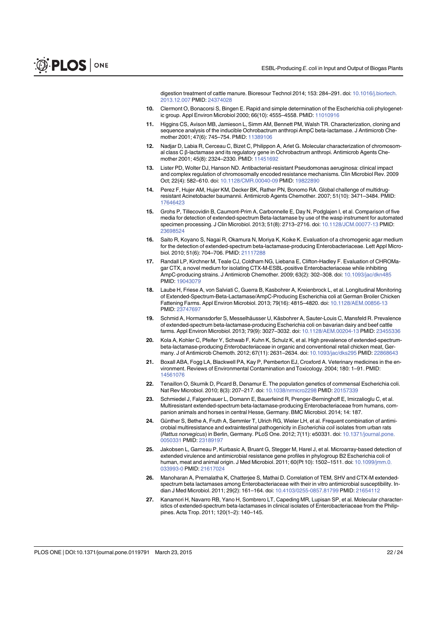digestion treatment of cattle manure. Bioresour Technol 2014; 153: 284–291. doi: [10.1016/j.biortech.](http://dx.doi.org/10.1016/j.biortech.2013.12.007) [2013.12.007](http://dx.doi.org/10.1016/j.biortech.2013.12.007) PMID: [24374028](http://www.ncbi.nlm.nih.gov/pubmed/24374028)

- 10. Clermont O, Bonacorsi S, Bingen E. Rapid and simple determination of the Escherichia coli phylogenetic group. Appl Environ Microbiol 2000; 66(10): 4555–4558. PMID: [11010916](http://www.ncbi.nlm.nih.gov/pubmed/11010916)
- 11. Higgins CS, Avison MB, Jamieson L, Simm AM, Bennett PM, Walsh TR. Characterization, cloning and sequence analysis of the inducible Ochrobactrum anthropi AmpC beta-lactamase. J Antimicrob Che-mother 2001; 47(6): 745-754. PMID: [11389106](http://www.ncbi.nlm.nih.gov/pubmed/11389106)
- 12. Nadjar D, Labia R, Cerceau C, Bizet C, Philippon A, Arlet G. Molecular characterization of chromosomal class C β-lactamase and its regulatory gene in Ochrobactrum anthropi. Antimicrob Agents Chemother 2001; 45(8): 2324–2330. PMID: [11451692](http://www.ncbi.nlm.nih.gov/pubmed/11451692)
- 13. Lister PD, Wolter DJ, Hanson ND. Antibacterial-resistant Pseudomonas aeruginosa: clinical impact and complex regulation of chromosomally encoded resistance mechanisms. Clin Microbiol Rev. 2009 Oct; 22(4): 582–610. doi: [10.1128/CMR.00040-09](http://dx.doi.org/10.1128/CMR.00040-09) PMID: [19822890](http://www.ncbi.nlm.nih.gov/pubmed/19822890)
- 14. Perez F, Hujer AM, Hujer KM, Decker BK, Rather PN, Bonomo RA. Global challenge of multidrugresistant Acinetobacter baumannii. Antimicrob Agents Chemother. 2007; 51(10): 3471–3484. PMID: [17646423](http://www.ncbi.nlm.nih.gov/pubmed/17646423)
- 15. Grohs P, Tillecovidin B, Caumont-Prim A, Carbonnelle E, Day N, Podglajen I, et al. Comparison of five media for detection of extended-spectrum Beta-lactamase by use of the wasp instrument for automated specimen processing. J Clin Microbiol. 2013; 51(8): 2713–2716. doi: [10.1128/JCM.00077-13](http://dx.doi.org/10.1128/JCM.00077-13) PMID: [23698524](http://www.ncbi.nlm.nih.gov/pubmed/23698524)
- 16. Saito R, Koyano S, Nagai R, Okamura N, Moriya K, Koike K. Evaluation of a chromogenic agar medium for the detection of extended-spectrum beta-lactamase-producing Enterobacteriaceae. Lett Appl Microbiol. 2010; 51(6): 704–706. PMID: [21117288](http://www.ncbi.nlm.nih.gov/pubmed/21117288)
- 17. Randall LP, Kirchner M, Teale CJ, Coldham NG, Liebana E, Clifton-Hadley F. Evaluation of CHROMagar CTX, a novel medium for isolating CTX-M-ESBL-positive Enterobacteriaceae while inhibiting AmpC-producing strains. J Antimicrob Chemother. 2009; 63(2): 302–308. doi: [10.1093/jac/dkn485](http://dx.doi.org/10.1093/jac/dkn485) PMID: [19043079](http://www.ncbi.nlm.nih.gov/pubmed/19043079)
- 18. Laube H, Friese A, von Salviati C, Guerra B, Kasbohrer A, Kreienbrock L, et al. Longitudinal Monitoring of Extended-Spectrum-Beta-Lactamase/AmpC-Producing Escherichia coli at German Broiler Chicken Fattening Farms. Appl Environ Microbiol. 2013; 79(16): 4815–4820. doi: [10.1128/AEM.00856-13](http://dx.doi.org/10.1128/AEM.00856-13) PMID: [23747697](http://www.ncbi.nlm.nih.gov/pubmed/23747697)
- 19. Schmid A, Hormansdorfer S, Messelhäusser U, Käsbohrer A, Sauter-Louis C, Mansfeld R. Prevalence of extended-spectrum beta-lactamase-producing Escherichia coli on bavarian dairy and beef cattle farms. Appl Environ Microbiol. 2013; 79(9): 3027–3032. doi: [10.1128/AEM.00204-13](http://dx.doi.org/10.1128/AEM.00204-13) PMID: [23455336](http://www.ncbi.nlm.nih.gov/pubmed/23455336)
- 20. Kola A, Kohler C, Pfeifer Y, Schwab F, Kuhn K, Schulz K, et al. High prevalence of extended-spectrumbeta-lactamase-producing Enterobacteriaceae in organic and conventional retail chicken meat, Germany. J of Antimicrob Chemoth. 2012; 67(11): 2631–2634. doi: [10.1093/jac/dks295](http://dx.doi.org/10.1093/jac/dks295) PMID: [22868643](http://www.ncbi.nlm.nih.gov/pubmed/22868643)
- 21. Boxall ABA, Fogg LA, Blackwell PA, Kay P, Pemberton EJ, Croxford A. Veterinary medicines in the environment. Reviews of Environmental Contamination and Toxicology. 2004; 180: 1–91. PMID: [14561076](http://www.ncbi.nlm.nih.gov/pubmed/14561076)
- 22. Tenaillon O, Skurnik D, Picard B, Denamur E. The population genetics of commensal Escherichia coli. Nat Rev Microbiol. 2010; 8(3): 207–217. doi: [10.1038/nrmicro2298](http://dx.doi.org/10.1038/nrmicro2298) PMID: [20157339](http://www.ncbi.nlm.nih.gov/pubmed/20157339)
- 23. Schmiedel J, Falgenhauer L, Domann E, Bauerfeind R, Prenger-Berninghoff E, Imirzalioglu C, et al. Multiresistant extended-spectrum beta-lactamase-producing Enterobacteriaceae from humans, companion animals and horses in central Hesse, Germany. BMC Microbiol. 2014; 14: 187.
- 24. Günther S, Bethe A, Fruth A, Semmler T, Ulrich RG, Wieler LH, et al. Frequent combination of antimicrobial multiresistance and extraintestinal pathogenicity in Escherichia coli isolates from urban rats (Rattus norvegicus) in Berlin, Germany. PLoS One. 2012; 7(11): e50331. doi: [10.1371/journal.pone.](http://dx.doi.org/10.1371/journal.pone.0050331) [0050331](http://dx.doi.org/10.1371/journal.pone.0050331) PMID: [23189197](http://www.ncbi.nlm.nih.gov/pubmed/23189197)
- 25. Jakobsen L, Garneau P, Kurbasic A, Bruant G, Stegger M, Harel J, et al. Microarray-based detection of extended virulence and antimicrobial resistance gene profiles in phylogroup B2 Escherichia coli of human, meat and animal origin. J Med Microbiol. 2011; 60(Pt 10): 1502–1511. doi: [10.1099/jmm.0.](http://dx.doi.org/10.1099/jmm.0.033993-0) [033993-0](http://dx.doi.org/10.1099/jmm.0.033993-0) PMID: [21617024](http://www.ncbi.nlm.nih.gov/pubmed/21617024)
- 26. Manoharan A, Premalatha K, Chatterjee S, Mathai D. Correlation of TEM, SHV and CTX-M extendedspectrum beta lactamases among Enterobacteriaceae with their in vitro antimicrobial susceptibility. Indian J Med Microbiol. 2011; 29(2): 161–164. doi: [10.4103/0255-0857.81799](http://dx.doi.org/10.4103/0255-0857.81799) PMID: [21654112](http://www.ncbi.nlm.nih.gov/pubmed/21654112)
- 27. Kanamori H, Navarro RB, Yano H, Sombrero LT, Capeding MR, Lupisan SP, et al. Molecular characteristics of extended-spectrum beta-lactamases in clinical isolates of Enterobacteriaceae from the Philippines. Acta Trop. 2011; 120(1–2): 140–145.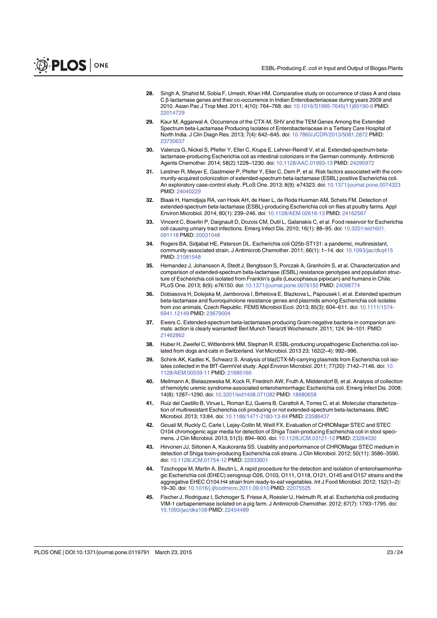- 28. Singh A, Shahid M, Sobia F, Umesh, Khan HM. Comparative study on occurrence of class A and class C β-lactamase genes and their co-occurrence in Indian Enterobacteriaceae during years 2009 and 2010. Asian Pac J Trop Med. 2011; 4(10): 764-768. doi: [10.1016/S1995-7645\(11\)60190-9](http://dx.doi.org/10.1016/S1995-7645(11)60190-9) PMID: [22014729](http://www.ncbi.nlm.nih.gov/pubmed/22014729)
- 29. Kaur M, Aggarwal A. Occurrence of the CTX-M, SHV and the TEM Genes Among the Extended Spectrum beta-Lactamase Producing Isolates of Enterobacteriaceae in a Tertiary Care Hospital of North India. J Clin Diagn Res. 2013; 7(4): 642–645. doi: [10.7860/JCDR/2013/5081.2872](http://dx.doi.org/10.7860/JCDR/2013/5081.2872) PMID: [23730637](http://www.ncbi.nlm.nih.gov/pubmed/23730637)
- 30. Valenza G, Nickel S, Pfeifer Y, Eller C, Krupa E, Lehner-Reindl V, et al. Extended-spectrum-betalactamase-producing Escherichia coli as intestinal colonizers in the German community. Antimicrob Agents Chemother. 2014; 58(2):1228–1230. doi: [10.1128/AAC.01993-13](http://dx.doi.org/10.1128/AAC.01993-13) PMID: [24295972](http://www.ncbi.nlm.nih.gov/pubmed/24295972)
- 31. Leistner R, Meyer E, Gastmeier P, Pfeifer Y, Eller C, Dem P, et al. Risk factors associated with the community-acquired colonization of extended-spectrum beta-lactamase (ESBL) positive Escherichia coli. An exploratory case-control study. PLoS One. 2013; 8(9): e74323. doi: [10.1371/journal.pone.0074323](http://dx.doi.org/10.1371/journal.pone.0074323) PMID: [24040229](http://www.ncbi.nlm.nih.gov/pubmed/24040229)
- 32. Blaak H, Hamidjaja RA, van Hoek AH, de Heer L, de Roda Husman AM, Schets FM. Detection of extended-spectrum beta-lactamase (ESBL)-producing Escherichia coli on flies at poultry farms. Appl Environ Microbiol. 2014; 80(1): 239–246. doi: [10.1128/AEM.02616-13](http://dx.doi.org/10.1128/AEM.02616-13) PMID: [24162567](http://www.ncbi.nlm.nih.gov/pubmed/24162567)
- 33. Vincent C, Boerlin P, Daignault D, Dozois CM, Dutil L, Galanakis C, et al. Food reservoir for Escherichia coli causing urinary tract infections. Emerg Infect Dis. 2010; 16(1): 88–95. doi: [10.3201/eid1601.](http://dx.doi.org/10.3201/eid1601.091118) [091118](http://dx.doi.org/10.3201/eid1601.091118) PMID: [20031048](http://www.ncbi.nlm.nih.gov/pubmed/20031048)
- 34. Rogers BA, Sidjabat HE, Paterson DL. Escherichia coli O25b-ST131: a pandemic, multiresistant, community-associated strain. J Antimicrob Chemother. 2011; 66(1): 1-14. doi: [10.1093/jac/dkq415](http://dx.doi.org/10.1093/jac/dkq415) PMID: [21081548](http://www.ncbi.nlm.nih.gov/pubmed/21081548)
- 35. Hernandez J, Johansson A, Stedt J, Bengtsson S, Porczak A, Granholm S, et al. Characterization and comparison of extended-spectrum beta-lactamase (ESBL) resistance genotypes and population structure of Escherichia coli isolated from Franklin's gulls (Leucophaeus pipixcan) and humans in Chile. PLoS One. 2013; 8(9): e76150. doi: [10.1371/journal.pone.0076150](http://dx.doi.org/10.1371/journal.pone.0076150) PMID: [24098774](http://www.ncbi.nlm.nih.gov/pubmed/24098774)
- 36. Dobiasova H, Dolejska M, Jamborova I, Brhelova E, Blazkova L, Papousek I, et al. Extended spectrum beta-lactamase and fluoroquinolone resistance genes and plasmids among Escherichia coli isolates from zoo animals, Czech Republic. FEMS Microbiol Ecol. 2013; 85(3): 604–611. doi: [10.1111/1574-](http://dx.doi.org/10.1111/1574-6941.12149) [6941.12149](http://dx.doi.org/10.1111/1574-6941.12149) PMID: [23679004](http://www.ncbi.nlm.nih.gov/pubmed/23679004)
- 37. Ewers C. Extended-spectrum beta-lactamases producing Gram-negative bacteria in companion animals: action is clearly warranted! Berl Munch Tierarztl Wochenschr. 2011; 124: 94–101. PMID: [21462862](http://www.ncbi.nlm.nih.gov/pubmed/21462862)
- 38. Huber H, Zweifel C, Wittenbrink MM, Stephan R. ESBL-producing uropathogenic Escherichia coli isolated from dogs and cats in Switzerland. Vet Microbiol. 2013 23; 162(2–4): 992–996.
- 39. Schink AK, Kadlec K, Schwarz S. Analysis of bla(CTX-M)-carrying plasmids from Escherichia coli iso-lates collected in the BfT-GermVet study. Appl Environ Microbiol. 2011; 77(20): 7142-7146. doi: [10.](http://dx.doi.org/10.1128/AEM.00559-11) [1128/AEM.00559-11](http://dx.doi.org/10.1128/AEM.00559-11) PMID: [21685166](http://www.ncbi.nlm.nih.gov/pubmed/21685166)
- 40. Mellmann A, Bielaszewska M, Kock R, Friedrich AW, Fruth A, Middendorf B, et al. Analysis of collection of hemolytic uremic syndrome-associated enterohemorrhagic Escherichia coli. Emerg Infect Dis. 2008; 14(8): 1287–1290. doi: [10.3201/eid1408.071082](http://dx.doi.org/10.3201/eid1408.071082) PMID: [18680658](http://www.ncbi.nlm.nih.gov/pubmed/18680658)
- 41. Ruiz del Castillo B, Vinue L, Roman EJ, Guerra B, Carattoli A, Torres C, et al. Molecular characterization of multiresistant Escherichia coli producing or not extended-spectrum beta-lactamases. BMC Microbiol. 2013; 13:84. doi: [10.1186/1471-2180-13-84](http://dx.doi.org/10.1186/1471-2180-13-84) PMID: [23586437](http://www.ncbi.nlm.nih.gov/pubmed/23586437)
- 42. Gouali M, Ruckly C, Carle I, Lejay-Collin M, Weill FX. Evaluation of CHROMagar STEC and STEC O104 chromogenic agar media for detection of Shiga Toxin-producing Escherichia coli in stool specimens. J Clin Microbiol. 2013; 51(3): 894–900. doi: [10.1128/JCM.03121-12](http://dx.doi.org/10.1128/JCM.03121-12) PMID: [23284030](http://www.ncbi.nlm.nih.gov/pubmed/23284030)
- 43. Hirvonen JJ, Siitonen A, Kaukoranta SS. Usability and performance of CHROMagar STEC medium in detection of Shiga toxin-producing Escherichia coli strains. J Clin Microbiol. 2012; 50(11): 3586–3590. doi: [10.1128/JCM.01754-12](http://dx.doi.org/10.1128/JCM.01754-12) PMID: [22933601](http://www.ncbi.nlm.nih.gov/pubmed/22933601)
- 44. Tzschoppe M, Martin A, Beutin L. A rapid procedure for the detection and isolation of enterohaemorrhagic Escherichia coli (EHEC) serogroup O26, O103, O111, O118, O121, O145 and O157 strains and the aggregative EHEC O104:H4 strain from ready-to-eat vegetables. Int J Food Microbiol. 2012; 152(1–2): 19–30. doi: [10.1016/j.ijfoodmicro.2011.09.010](http://dx.doi.org/10.1016/j.ijfoodmicro.2011.09.010) PMID: [22075525](http://www.ncbi.nlm.nih.gov/pubmed/22075525)
- 45. Fischer J, Rodriguez I, Schmoger S, Friese A, Roesler U, Helmuth R, et al. Escherichia coli producing VIM-1 carbapenemase isolated on a pig farm. J Antimicrob Chemother. 2012; 67(7): 1793–1795. doi: [10.1093/jac/dks108](http://dx.doi.org/10.1093/jac/dks108) PMID: [22454489](http://www.ncbi.nlm.nih.gov/pubmed/22454489)